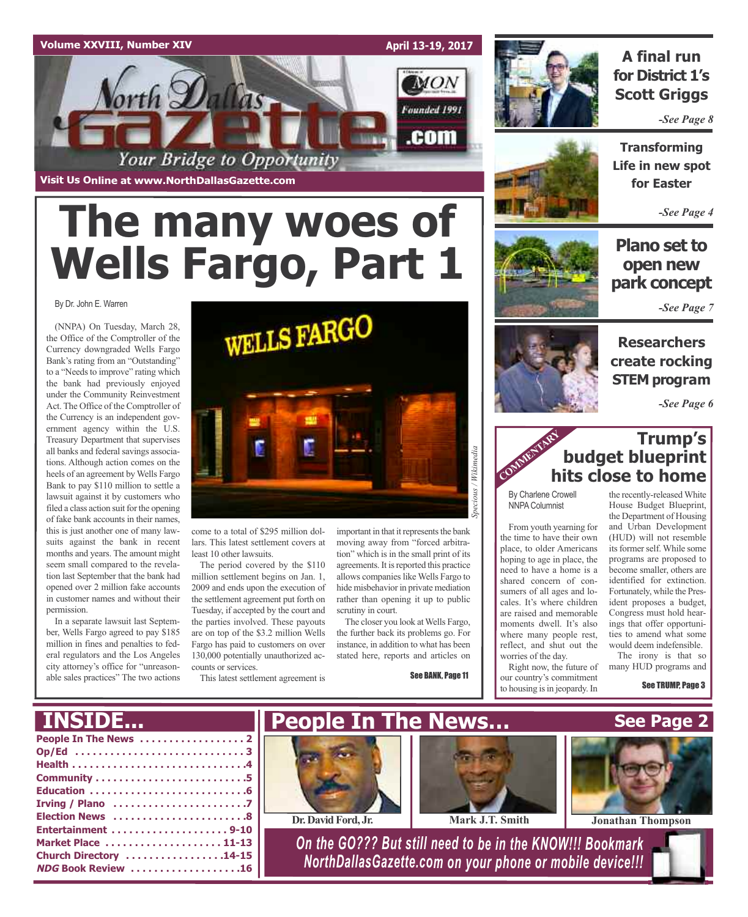



### **A final run for District 1's Scott Griggs**

*-See Page 8*



**Transforming Life in new spot for Easter**

*-See Page 4*

### **Plano set to open new park concept**

*-See Page 7*



*-See Page 6*

### **Trump's budget blueprint hits close to home** COMMENTARY R

By Charlene Crowell NNPA Columnist

From youth yearning for the time to have their own place, to older Americans hoping to age in place, the need to have a home is a shared concern of consumers of all ages and locales. It's where children are raised and memorable moments dwell. It's also where many people rest, reflect, and shut out the worries of the day.

Right now, the future of our country's commitment to housing is in jeopardy. In

the recently-released White House Budget Blueprint, the Department of Housing and Urban Development (HUD) will not resemble its former self. While some programs are proposed to become smaller, others are identified for extinction. Fortunately, while the President proposes a budget, Congress must hold hearings that offer opportunities to amend what some would deem indefensible.

The irony is that so many HUD programs and

See TRUMP, Page 3

### By Dr. John E. Warren (NNPA) On Tuesday, March 28, the Office of the Comptroller of the **The many woes of Wells Fargo, Part 1**

Currency downgraded Wells Fargo Bank's rating from an "Outstanding" to a "Needs to improve" rating which the bank had previously enjoyed under the Community Reinvestment Act. The Office of the Comptroller of the Currency is an independent government agency within the U.S. Treasury Department that supervises all banks and federal savings associations. Although action comes on the heels of an agreement by Wells Fargo Bank to pay \$110 million to settle a lawsuit against it by customers who filed a class action suit for the opening of fake bank accounts in their names, this is just another one of many lawsuits against the bank in recent months and years. The amount might seem small compared to the revelation last September that the bank had opened over 2 million fake accounts in customer names and without their permission.

In a separate lawsuit last September, Wells Fargo agreed to pay \$185 million in fines and penalties to federal regulators and the Los Angeles city attorney's office for "unreasonable sales practices" The two actions

**NDG Book Review . . . . . . . . . . . . . . . . . . .16**



come to a total of \$295 million dollars. This latest settlement covers at least 10 other lawsuits.

The period covered by the \$110 million settlement begins on Jan. 1, 2009 and ends upon the execution of the settlement agreement put forth on Tuesday, if accepted by the court and the parties involved. These payouts are on top of the \$3.2 million Wells Fargo has paid to customers on over 130,000 potentially unauthorized accounts or services.

This latest settlement agreement is

important in that it represents the bank moving away from "forced arbitration" which is in the small print of its agreements. It is reported this practice allows companies like Wells Fargo to hide misbehavior in private mediation rather than opening it up to public scrutiny in court.

The closer you look at Wells Fargo, the further back its problems go. For instance, in addition to what has been stated here, reports and articles on

See BANK, Page 11

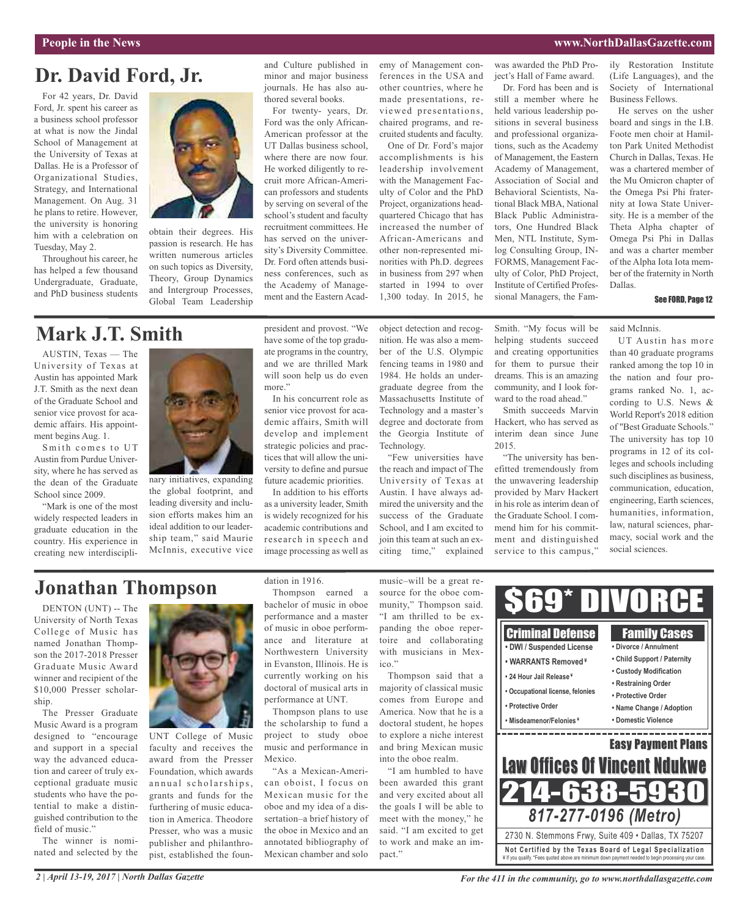### **People in the News www.NorthDallasGazette.com**

### **Dr. David Ford, Jr.**

For 42 years, Dr. David Ford, Jr. spent his career as a business school professor at what is now the Jindal School of Management at the University of Texas at Dallas. He is a Professor of Organizational Studies, Strategy, and International Management. On Aug. 31 he plans to retire. However, the university is honoring him with a celebration on Tuesday, May 2.

Throughout his career, he has helped a few thousand Undergraduate, Graduate, and PhD business students



obtain their degrees. His passion is research. He has written numerous articles on such topics as Diversity, Theory, Group Dynamics and Intergroup Processes, Global Team Leadership

and Culture published in minor and major business journals. He has also authored several books.

For twenty- years, Dr. Ford was the only African-American professor at the UT Dallas business school, where there are now four He worked diligently to recruit more African-American professors and students by serving on several of the school's student and faculty recruitment committees. He has served on the university's Diversity Committee. Dr. Ford often attends business conferences, such as the Academy of Management and the Eastern Academy of Management conferences in the USA and other countries, where he made presentations, reviewed presentations, chaired programs, and recruited students and faculty.

One of Dr. Ford's major accomplishments is his leadership involvement with the Management Faculty of Color and the PhD Project, organizations headquartered Chicago that has increased the number of African-Americans and other non-represented minorities with Ph.D. degrees in business from 297 when started in 1994 to over 1,300 today. In 2015, he

was awarded the PhD Project's Hall of Fame award.

Dr. Ford has been and is still a member where he held various leadership positions in several business and professional organizations, such as the Academy of Management, the Eastern Academy of Management, Association of Social and Behavioral Scientists, National Black MBA, National Black Public Administrators, One Hundred Black Men, NTL Institute, Symlog Consulting Group, IN-FORMS, Management Faculty of Color, PhD Project, Institute of Certified Professional Managers, the Family Restoration Institute (Life Languages), and the Society of International Business Fellows.

He serves on the usher board and sings in the I.B. Foote men choir at Hamilton Park United Methodist Church in Dallas, Texas. He was a chartered member of the Mu Omicron chapter of the Omega Psi Phi fraternity at Iowa State University. He is a member of the Theta Alpha chapter of Omega Psi Phi in Dallas and was a charter member of the Alpha Iota Iota member of the fraternity in North Dallas.

### See FORD, Page 12

### **Mark J.T. Smith**

AUSTIN, Texas — The University of Texas at Austin has appointed Mark J.T. Smith as the next dean of the Graduate School and senior vice provost for academic affairs. His appointment begins Aug. 1.

Smith comes to UT Austin from Purdue University, where he has served as the dean of the Graduate School since 2009.

"Mark is one of the most widely respected leaders in graduate education in the country. His experience in creating new interdiscipli-



nary initiatives, expanding the global footprint, and leading diversity and inclusion efforts makes him an ideal addition to our leadership team," said Maurie McInnis, executive vice president and provost. "We have some of the top graduate programs in the country, and we are thrilled Mark will soon help us do even more."

In his concurrent role as senior vice provost for academic affairs, Smith will develop and implement strategic policies and practices that will allow the university to define and pursue future academic priorities.

In addition to his efforts as a university leader, Smith is widely recognized for his academic contributions and research in speech and image processing as well as

object detection and recognition. He was also a member of the U.S. Olympic fencing teams in 1980 and 1984. He holds an undergraduate degree from the Massachusetts Institute of Technology and a master's degree and doctorate from the Georgia Institute of Technology.

"Few universities have the reach and impact of The University of Texas at Austin. I have always admired the university and the success of the Graduate School, and I am excited to join this team at such an exciting time," explained

Smith. "My focus will be helping students succeed and creating opportunities for them to pursue their dreams. This is an amazing community, and I look forward to the road ahead."

Smith succeeds Marvin Hackert, who has served as interim dean since June 2015.

"The university has benefitted tremendously from the unwavering leadership provided by Marv Hackert in his role as interim dean of the Graduate School. I commend him for his commitment and distinguished service to this campus,"

said McInnis.

UT Austin has more than 40 graduate programs ranked among the top 10 in the nation and four programs ranked No. 1, according to U.S. News & World Report's 2018 edition of "Best Graduate Schools." The university has top 10 programs in 12 of its colleges and schools including such disciplines as business, communication, education, engineering, Earth sciences, humanities, information, law, natural sciences, pharmacy, social work and the social sciences.

### **Jonathan Thompson**

DENTON (UNT) -- The University of North Texas College of Music has named Jonathan Thompson the 2017-2018 Presser Graduate Music Award winner and recipient of the \$10,000 Presser scholarship.

The Presser Graduate Music Award is a program designed to "encourage and support in a special way the advanced education and career of truly exceptional graduate music students who have the potential to make a distinguished contribution to the field of music."

The winner is nominated and selected by the



UNT College of Music faculty and receives the award from the Presser Foundation, which awards annual scholarships, grants and funds for the furthering of music education in America. Theodore Presser, who was a music publisher and philanthropist, established the foundation in 1916.

Thompson earned a bachelor of music in oboe performance and a master of music in oboe performance and literature at Northwestern University in Evanston, Illinois. He is currently working on his doctoral of musical arts in performance at UNT.

Thompson plans to use the scholarship to fund a project to study oboe music and performance in Mexico.

"As a Mexican-American oboist, I focus on Mexican music for the oboe and my idea of a dissertation–a brief history of the oboe in Mexico and an annotated bibliography of Mexican chamber and solo

music–will be a great resource for the oboe community," Thompson said. "I am thrilled to be expanding the oboe repertoire and collaborating with musicians in Mexico."

Thompson said that a majority of classical music comes from Europe and America. Now that he is a doctoral student, he hopes to explore a niche interest and bring Mexican music into the oboe realm.

"I am humbled to have been awarded this grant and very excited about all the goals I will be able to meet with the money," he said. "I am excited to get to work and make an impact."



*For the 411 in the community, go to www.northdallasgazette.com*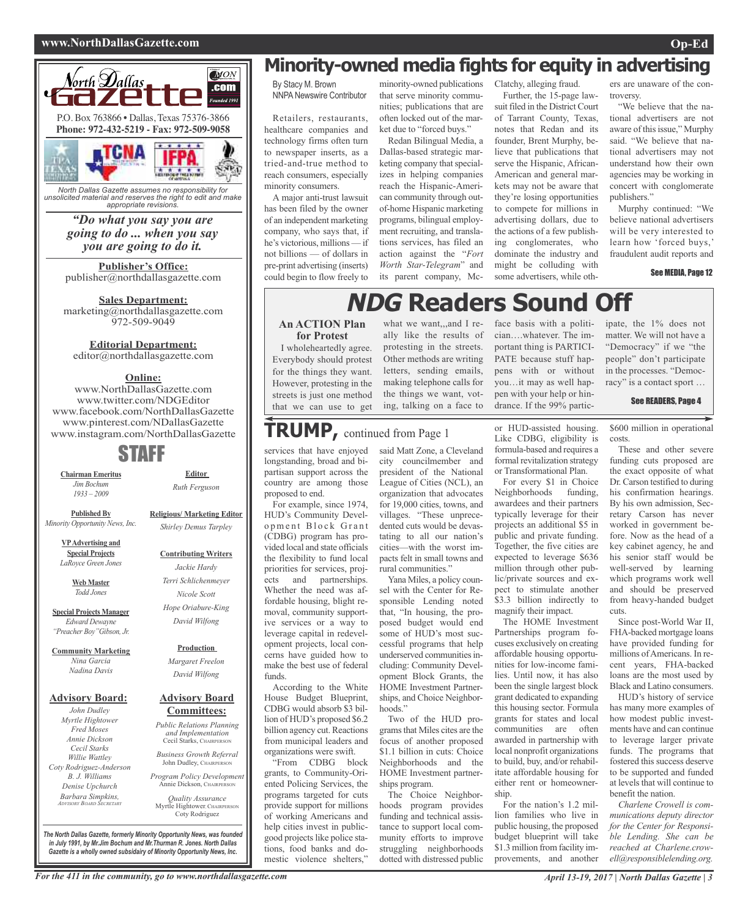#### **www.NorthDallasGazette.com Op-Ed**



*North Dallas Gazette assumes no responsibility for unsolicited material and reserves the right to edit and make appropriate revisions.*

> *"Do what you say you are going to do ... when you say you are going to do it.*

**Publisher's Office:** publisher@northdallasgazette.com

**Sales Department:** marketing@northdallasgazette.com 972-509-9049

### **Editorial Department:**

editor@northdallasgazette.com

### **Online:**

www.NorthDallasGazette.com www.twitter.com/NDGEditor www.facebook.com/NorthDallasGazette www.pinterest.com/NDallasGazette www.instagram.com/NorthDallasGazette

### STAFF

**Chairman Emeritus** *Jim Bochum 1933 – 2009*

**Published By** *Minority Opportunity News, Inc.*

> **VPAdvertising and Special Projects** *LaRoyce Green Jones*

> > **Web Master** *Todd Jones*

**Special Projects Manager** *Edward Dewayne "Preacher Boy"Gibson, Jr.*

**Community Marketing** *Nina Garcia Nadina Davis*

#### **Advisory Board:**

*John Dudley Myrtle Hightower Fred Moses Annie Dickson Cecil Starks Willie Wattley Coty Rodriguez-Anderson B. J. Williams Denise Upchurch Barbara Simpkins, ADVISORY BOARD SECRETARY*

*Shirley Demus Tarpley* **Contributing Writers** *Jackie Hardy*

**Editor** *Ruth Ferguson*

**Religious/ Marketing Editor**

*Terri Schlichenmeyer Nicole Scott Hope Oriabure-King*

*David Wilfong*

**Production** *Margaret Freelon David Wilfong*

#### **Advisory Board Committees:**

*Public Relations Planning and Implementation* Cecil Starks, CHAIRPERSON *Business Growth Referral*

John Dudley, CHAIRPERSON

*Program Policy Development* Annie Dickson, CHAIRPER

*Quality Assurance* Myrtle Hightower, CHAIRPERSON Coty Rodriguez

*The North Dallas Gazette, formerly Minority Opportunity News, was founded in July 1991, by Mr.Jim Bochum and Mr.Thurman R. Jones. North Dallas Gazette is a wholly owned subsidairy of Minority Opportunity News, Inc.*

### **Minority-owned media fights for equity in advertising**

By Stacy M. Brown NNPA Newswire Contributor

Retailers, restaurants, healthcare companies and technology firms often turn to newspaper inserts, as a tried-and-true method to reach consumers, especially minority consumers.

A major anti-trust lawsuit has been filed by the owner of an independent marketing company, who says that, if he's victorious, millions — if not billions — of dollars in pre-print advertising (inserts) could begin to flow freely to minority-owned publications that serve minority communities; publications that are often locked out of the market due to "forced buys."

Redan Bilingual Media, a Dallas-based strategic marketing company that specializes in helping companies reach the Hispanic-American community through outof-home Hispanic marketing programs, bilingual employment recruiting, and translations services, has filed an action against the "*Fort Worth Star-Telegram*" and its parent company, McClatchy, alleging fraud. Further, the 15-page lawsuit filed in the District Court of Tarrant County, Texas, notes that Redan and its founder, Brent Murphy, believe that publications that serve the Hispanic, African-American and general markets may not be aware that they're losing opportunities to compete for millions in advertising dollars, due to the actions of a few publishing conglomerates, who dominate the industry and might be colluding with some advertisers, while others are unaware of the controversy.

"We believe that the national advertisers are not aware of this issue," Murphy said. "We believe that national advertisers may not understand how their own agencies may be working in concert with conglomerate publishers."

Murphy continued: "We believe national advertisers will be very interested to learn how 'forced buys,' fraudulent audit reports and

### See MEDIA, Page 12

### **NDG** Readers Sound

#### **An ACTION Plan for Protest**

I wholeheartedly agree. Everybody should protest for the things they want. However, protesting in the streets is just one method that we can use to get

what we want,,,and I really like the results of protesting in the streets. Other methods are writing letters, sending emails, making telephone calls for the things we want, voting, talking on a face to

**TRUMP,** continued from Page <sup>1</sup>

services that have enjoyed longstanding, broad and bipartisan support across the country are among those proposed to end. For example, since 1974,

HUD's Community Development Block Grant (CDBG) program has provided local and state officials the flexibility to fund local priorities for services, projects and partnerships. Whether the need was affordable housing, blight removal, community supportive services or a way to leverage capital in redevelopment projects, local concerns have guided how to make the best use of federal funds.

According to the White House Budget Blueprint, CDBG would absorb \$3 billion of HUD's proposed \$6.2 billion agency cut. Reactions from municipal leaders and organizations were swift.

"From CDBG block grants, to Community-Oriented Policing Services, the programs targeted for cuts provide support for millions of working Americans and help cities invest in publicgood projects like police stations, food banks and domestic violence shelters,"

said Matt Zone, a Cleveland city councilmember and president of the National League of Cities (NCL), an organization that advocates for 19,000 cities, towns, and villages. "These unprecedented cuts would be devastating to all our nation's cities—with the worst impacts felt in small towns and rural communities."

Yana Miles, a policy counsel with the Center for Responsible Lending noted that, "In housing, the proposed budget would end some of HUD's most successful programs that help underserved communities including: Community Development Block Grants, the HOME Investment Partnerships, and Choice Neighborhoods."

Two of the HUD programsthat Miles cites are the focus of another proposed \$1.1 billion in cuts: Choice Neighborhoods and the HOME Investment partnerships program.

The Choice Neighborhoods program provides funding and technical assistance to support local community efforts to improve struggling neighborhoods dotted with distressed public face basis with a politician….whatever. The important thing is PARTICI-PATE because stuff happens with or without you…it may as well happen with your help or hindrance. If the 99% partic-

or HUD-assisted housing. Like CDBG, eligibility is formula-based and requires a formal revitalization strategy or Transformational Plan.

For every \$1 in Choice Neighborhoods funding, awardees and their partners typically leverage for their projects an additional \$5 in public and private funding. Together, the five cities are expected to leverage \$636 million through other public/private sources and expect to stimulate another \$3.3 billion indirectly to magnify their impact.

The HOME Investment Partnerships program focuses exclusively on creating affordable housing opportunities for low-income families. Until now, it has also been the single largest block grant dedicated to expanding this housing sector. Formula grants for states and local communities are often awarded in partnership with local nonprofit organizations to build, buy, and/or rehabilitate affordable housing for either rent or homeownership.

For the nation's 1.2 million families who live in public housing, the proposed budget blueprint will take \$1.3 million from facility improvements, and another

people" don't participate in the processes. "Democracy" is a contact sport … See READERS, Page 4

ipate, the 1% does not matter. We will not have a "Democracy" if we "the

\$600 million in operational costs.

These and other severe funding cuts proposed are the exact opposite of what Dr. Carson testified to during his confirmation hearings. By his own admission, Secretary Carson has never worked in government before. Now as the head of a key cabinet agency, he and his senior staff would be well-served by learning which programs work well and should be preserved from heavy-handed budget cuts.

Since post-World War II, FHA-backed mortgage loans have provided funding for millions of Americans. In recent years, FHA-backed loans are the most used by Black and Latino consumers.

HUD's history of service has many more examples of how modest public investments have and can continue to leverage larger private funds. The programs that fostered this success deserve to be supported and funded at levels that will continue to benefit the nation.

*Charlene Crowell is communications deputy director for the Center for Responsible Lending. She can be reached at Charlene.crowell@responsiblelending.org.*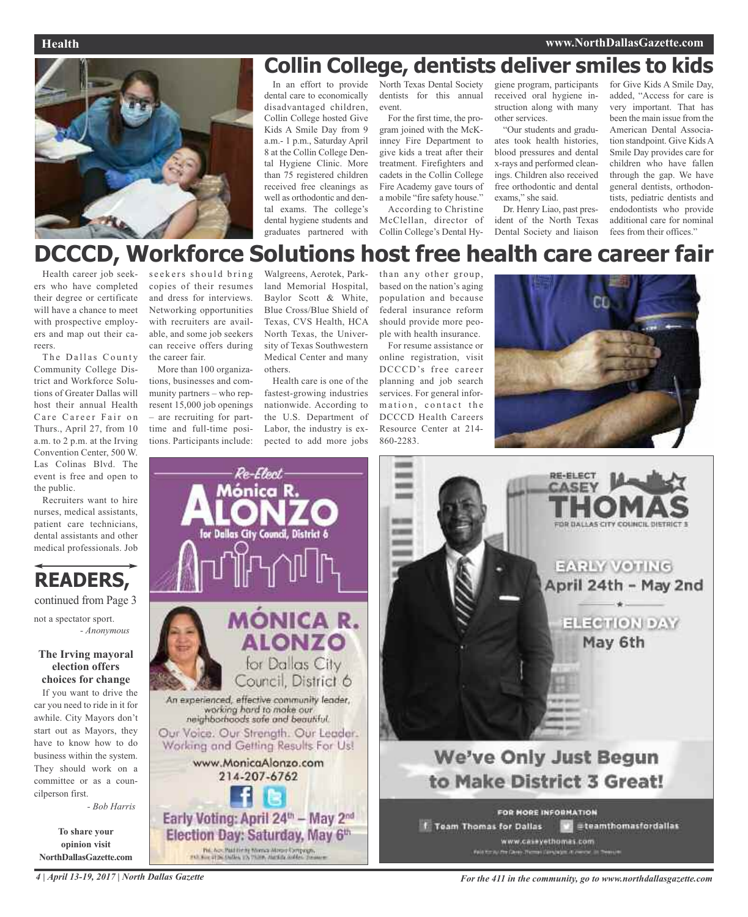### **Health www.NorthDallasGazette.com**



### **Collin College, dentists deliver smiles to kids**

In an effort to provide dental care to economically disadvantaged children, Collin College hosted Give Kids A Smile Day from 9 a.m.- 1 p.m., Saturday April 8 at the Collin College Dental Hygiene Clinic. More than 75 registered children received free cleanings as well as orthodontic and dental exams. The college's dental hygiene students and graduates partnered with

North Texas Dental Society dentists for this annual event.

For the first time, the program joined with the McKinney Fire Department to give kids a treat after their treatment. Firefighters and cadets in the Collin College Fire Academy gave tours of a mobile "fire safety house." According to Christine

McClellan, director of Collin College's Dental Hygiene program, participants received oral hygiene instruction along with many other services.

"Our students and graduates took health histories, blood pressures and dental x-rays and performed cleanings. Children also received free orthodontic and dental exams," she said.

Dr. Henry Liao, past president of the North Texas Dental Society and liaison for Give Kids A Smile Day, added, "Access for care is very important. That has been the main issue from the American Dental Association standpoint. Give KidsA Smile Day provides care for children who have fallen through the gap. We have general dentists, orthodontists, pediatric dentists and endodontists who provide additional care for nominal fees from their offices."

### **DCCCD, Workforce Solutions host free health care career fair**

Health career job seekers who have completed their degree or certificate will have a chance to meet with prospective employers and map out their careers.

The Dallas County Community College District and Workforce Solutions of Greater Dallas will host their annual Health Care Career Fair on Thurs., April 27, from 10 a.m. to 2 p.m. at the Irving Convention Center, 500 W. Las Colinas Blvd. The event is free and open to the public.

Recruiters want to hire nurses, medical assistants, patient care technicians, dental assistants and other medical professionals. Job

### **READERS,**

continued from Page 3

not a spectator sport. *- Anonymous*

### **The Irving mayoral election offers choices for change**

If you want to drive the car you need to ride in it for awhile. City Mayors don't start out as Mayors, they have to know how to do business within the system. They should work on a committee or as a councilperson first.

*- Bob Harris*

**To share your opinion visit NorthDallasGazette.com** seekers should bring copies of their resumes and dress for interviews. Networking opportunities with recruiters are available, and some job seekers can receive offers during the career fair.

More than 100 organizations, businesses and community partners – who represent 15,000 job openings – are recruiting for parttime and full-time positions. Participants include:

Walgreens, Aerotek, Parkland Memorial Hospital, Baylor Scott & White, Blue Cross/Blue Shield of Texas, CVS Health, HCA North Texas, the University of Texas Southwestern Medical Center and many others.

Health care is one of the fastest-growing industries nationwide. According to the U.S. Department of Labor, the industry is expected to add more jobs

Re-Elect

Mónica R

for Dallas City Council, District

working hard to make our

www.MonicaAlonzo.com 214-207-6762

.<br>No. Acc. Paul for by Normal Morpel Compagn,

than any other group, based on the nation's aging population and because federal insurance reform should provide more people with health insurance.

For resume assistance or online registration, visit DCCCD's free career planning and job search services. For general information, contact the DCCCD Health Careers Resource Center at 214- 860-2283.





4 | April 13-19, 2017 | North Dallas Gazette **State Assemblance** For the 411 in the community, go to www.northdallasgazette.com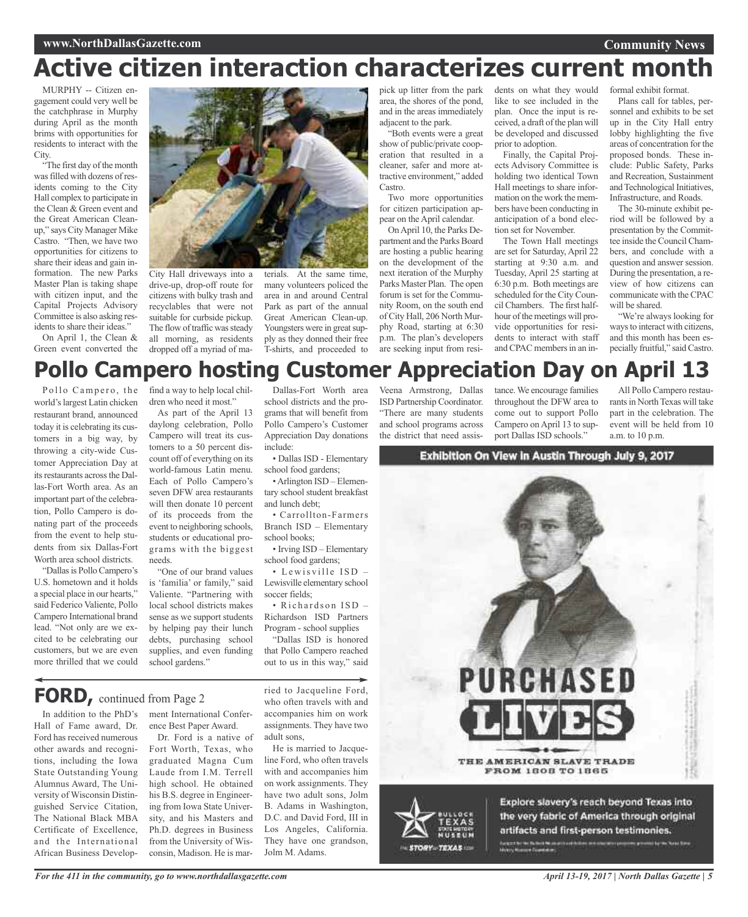### **Community News**

### **www.NorthDallasGazette.com**

## **Active citizen interaction characterizes current month**

MURPHY -- Citizen engagement could very well be the catchphrase in Murphy during April as the month brims with opportunities for residents to interact with the City.

"The first day of the month was filled with dozens of residents coming to the City Hall complex to participate in the Clean & Green event and the Great American Cleanup," saysCity Manager Mike Castro. "Then, we have two opportunities for citizens to share their ideas and gain information. The new Parks Master Plan is taking shape with citizen input, and the Capital Projects Advisory Committee is also asking residents to share their ideas."

On April 1, the Clean & Green event converted the



City Hall driveways into a drive-up, drop-off route for citizens with bulky trash and recyclables that were not suitable for curbside pickup. The flow of traffic was steady all morning, as residents dropped off a myriad of ma-

terials. At the same time, many volunteers policed the area in and around Central Park as part of the annual Great American Clean-up. Youngsters were in great supply as they donned their free T-shirts, and proceeded to

pick up litter from the park area, the shores of the pond, and in the areas immediately adjacent to the park.

"Both events were a great show of public/private cooperation that resulted in a cleaner, safer and more attractive environment," added **Castro**.

Two more opportunities for citizen participation appear on the April calendar.

OnApril 10, the Parks Department and the Parks Board are hosting a public hearing on the development of the next iteration of the Murphy Parks Master Plan. The open forum is set for the Community Room, on the south end of City Hall, 206 North Murphy Road, starting at 6:30 p.m. The plan's developers are seeking input from residents on what they would like to see included in the plan. Once the input is received, a draft of the plan will be developed and discussed prior to adoption.

Finally, the Capital Projects Advisory Committee is holding two identical Town Hall meetings to share information on the work the members have been conducting in anticipation of a bond election set for November.

The Town Hall meetings are set for Saturday, April 22 starting at 9:30 a.m. and Tuesday, April 25 starting at 6:30 p.m. Both meetings are scheduled for the City Council Chambers. The first halfhour of the meetings will provide opportunities for residents to interact with staff and CPAC members in an informal exhibit format.

Plans call for tables, personnel and exhibits to be set up in the City Hall entry lobby highlighting the five areas of concentration for the proposed bonds. These include: Public Safety, Parks and Recreation, Sustainment and Technological Initiatives, Infrastructure, and Roads.

The 30-minute exhibit period will be followed by a presentation by the Committee inside the Council Chambers, and conclude with a question and answer session. During the presentation, a review of how citizens can communicate with the CPAC will be shared.

"We're always looking for ways to interact with citizens, and this month has been especially fruitful," saidCastro.

### **Pollo Campero hosting Customer Appreciation Day on April 13**

world'slargest Latin chicken restaurant brand, announced today it is celebrating its customers in a big way, by throwing a city-wide Customer Appreciation Day at its restaurants across the Dallas-Fort Worth area. As an important part of the celebration, Pollo Campero is donating part of the proceeds from the event to help students from six Dallas-Fort Worth area school districts.

"Dallas is Pollo Campero's U.S. hometown and it holds a special place in our hearts," said Federico Valiente, Pollo Campero International brand lead. "Not only are we excited to be celebrating our customers, but we are even more thrilled that we could

Pollo Campero, the find a way to help local children who need it most."

As part of the April 13 daylong celebration, Pollo Campero will treat its customers to a 50 percent discount off of everything on its world-famous Latin menu. Each of Pollo Campero's seven DFW area restaurants will then donate 10 percent of its proceeds from the event to neighboring schools, students or educational programs with the biggest needs.

"One of our brand values is 'familia' or family," said Valiente. "Partnering with local school districts makes sense as we support students by helping pay their lunch debts, purchasing school supplies, and even funding school gardens."

Dallas-Fort Worth area school districts and the programs that will benefit from Pollo Campero's Customer Appreciation Day donations include:

• Dallas ISD - Elementary school food gardens;

•Arlington ISD – Elementary school student breakfast and lunch debt;

• Carrollton-Farmers Branch ISD – Elementary school books;

• Irving ISD – Elementary school food gardens;

• Lewisville ISD -Lewisville elementary school soccer fields;

• Richardson  $ISD -$ Richardson ISD Partners Program - school supplies

"Dallas ISD is honored that Pollo Campero reached out to us in this way," said

### **FORD,** continued from Page <sup>2</sup>

In addition to the PhD's Hall of Fame award, Dr. Ford has received numerous other awards and recognitions, including the Iowa State Outstanding Young Alumnus Award, The University of Wisconsin Distinguished Service Citation, The National Black MBA Certificate of Excellence, and the International African Business Develop-

ment International Conference Best Paper Award.

Dr. Ford is a native of Fort Worth, Texas, who graduated Magna Cum Laude from I.M. Terrell high school. He obtained his B.S. degree in Engineering from Iowa State University, and his Masters and Ph.D. degrees in Business from the University of Wisconsin, Madison. He is married to Jacqueline Ford, who often travels with and accompanies him on work assignments. They have two adult sons,

He is married to Jacqueline Ford, who often travels with and accompanies him on work assignments. They have two adult sons, Jolm B. Adams in Washington, D.C. and David Ford, III in Los Angeles, California. They have one grandson, Jolm M. Adams.

Veena Armstrong, Dallas ISD Partnership Coordinator. "There are many students and school programs across the district that need assis-

STORY TEXAS

tance.We encourage families throughout the DFW area to come out to support Pollo Campero on April 13 to support Dallas ISD schools."

All Pollo Campero restaurantsin North Texas will take part in the celebration. The event will be held from 10 a.m. to 10 p.m.

Exhibition On View in Austin Through July 9, 2017



Separate the Bulletin Museum controlling and interaction promise product by the Seat State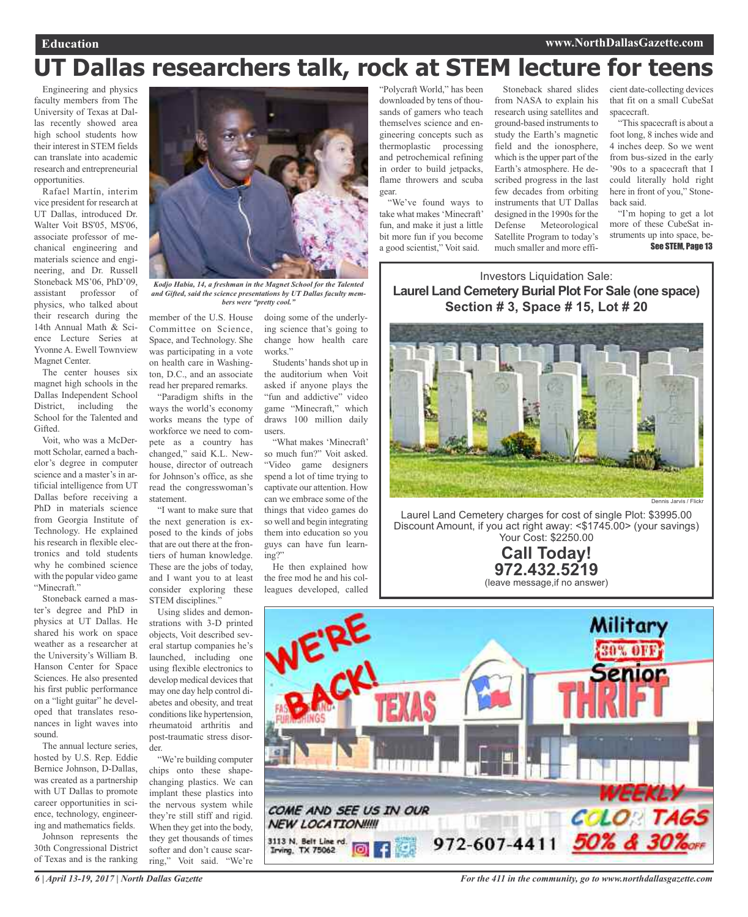### **UT Dallas researchers talk, rock at STEM lecture for teens**

Engineering and physics faculty members from The University of Texas at Dallas recently showed area high school students how their interest in STEM fields can translate into academic research and entrepreneurial opportunities.

Rafael Martín, interim vice president for research at UT Dallas, introduced Dr. Walter Voit BS'05, MS'06, associate professor of mechanical engineering and materials science and engineering, and Dr. Russell Stoneback MS'06, PhD'09, assistant professor of physics, who talked about their research during the 14th Annual Math & Science Lecture Series at Yvonne A. Ewell Townview Magnet Center.

The center houses six magnet high schools in the Dallas Independent School District, including the School for the Talented and Gifted.

Voit, who was a McDermott Scholar, earned a bachelor's degree in computer science and a master's in artificial intelligence from UT Dallas before receiving a PhD in materials science from Georgia Institute of Technology. He explained his research in flexible electronics and told students why he combined science with the popular video game "Minecraft."

Stoneback earned a master's degree and PhD in physics at UT Dallas. He shared his work on space weather as a researcher at the University's William B. Hanson Center for Space Sciences. He also presented his first public performance on a "light guitar" he developed that translates resonances in light waves into sound.

The annual lecture series, hosted by U.S. Rep. Eddie Bernice Johnson, D-Dallas, was created as a partnership with UT Dallas to promote career opportunities in science, technology, engineering and mathematics fields.

Johnson represents the 30th Congressional District of Texas and is the ranking



*Kodjo Habia, 14, a freshman in the Magnet School for the Talented and Gifted, said the science presentations by UT Dallas faculty members were "pretty cool."*

member of the U.S. House Committee on Science, Space, and Technology. She was participating in a vote on health care in Washington, D.C., and an associate read her prepared remarks.

"Paradigm shifts in the ways the world's economy works means the type of workforce we need to compete as a country has changed," said K.L. Newhouse, director of outreach for Johnson's office, as she read the congresswoman's statement.

"I want to make sure that the next generation is exposed to the kinds of jobs that are out there at the frontiers of human knowledge. These are the jobs of today, and I want you to at least consider exploring these STEM disciplines."

Using slides and demonstrations with 3-D printed objects, Voit described several startup companies he's launched, including one using flexible electronics to develop medical devices that may one day help control diabetes and obesity, and treat conditions like hypertension, rheumatoid arthritis and post-traumatic stress disorder.

"We're building computer chips onto these shapechanging plastics. We can implant these plastics into the nervous system while they're still stiff and rigid. When they get into the body, they get thousands of times softer and don't cause scarring," Voit said. "We're

doing some of the underlying science that's going to change how health care works."

Students'hands shot up in the auditorium when Voit asked if anyone plays the "fun and addictive" video game "Minecraft," which draws 100 million daily users.

"What makes 'Minecraft' so much fun?" Voit asked. "Video game designers spend a lot of time trying to captivate our attention. How can we embrace some of the things that video games do so well and begin integrating them into education so you guys can have fun learning?"

He then explained how the free mod he and his colleagues developed, called

"Polycraft World," has been downloaded by tens of thousands of gamers who teach themselves science and engineering concepts such as thermoplastic processing and petrochemical refining in order to build jetpacks, flame throwers and scuba gear.

"We've found ways to take what makes'Minecraft' fun, and make it just a little bit more fun if you become a good scientist," Voit said.

Stoneback shared slides from NASA to explain his research using satellites and ground-based instruments to study the Earth's magnetic field and the ionosphere, which is the upper part of the Earth's atmosphere. He described progress in the last few decades from orbiting instruments that UT Dallas designed in the 1990s for the Defense Meteorological Satellite Program to today's much smaller and more effi-

cient date-collecting devices that fit on a small CubeSat spacecraft.

"Thisspacecraft is about a foot long, 8 inches wide and 4 inches deep. So we went from bus-sized in the early '90s to a spacecraft that I could literally hold right here in front of you," Stoneback said.

"I'm hoping to get a lot more of these CubeSat instruments up into space, be-

See STEM, Page 13

Investors Liquidation Sale: **Laurel Land Cemetery Burial Plot For Sale (one space) Section # 3, Space # 15, Lot # 20**



Laurel Land Cemetery charges for cost of single Plot: \$3995.00 Discount Amount, if you act right away: <\$1745.00> (your savings) Your Cost: \$2250.00

> **Call Today! 972.432.5219** (leave message,if no answer)



*6 | April 13-19, 2017 | North Dallas Gazette*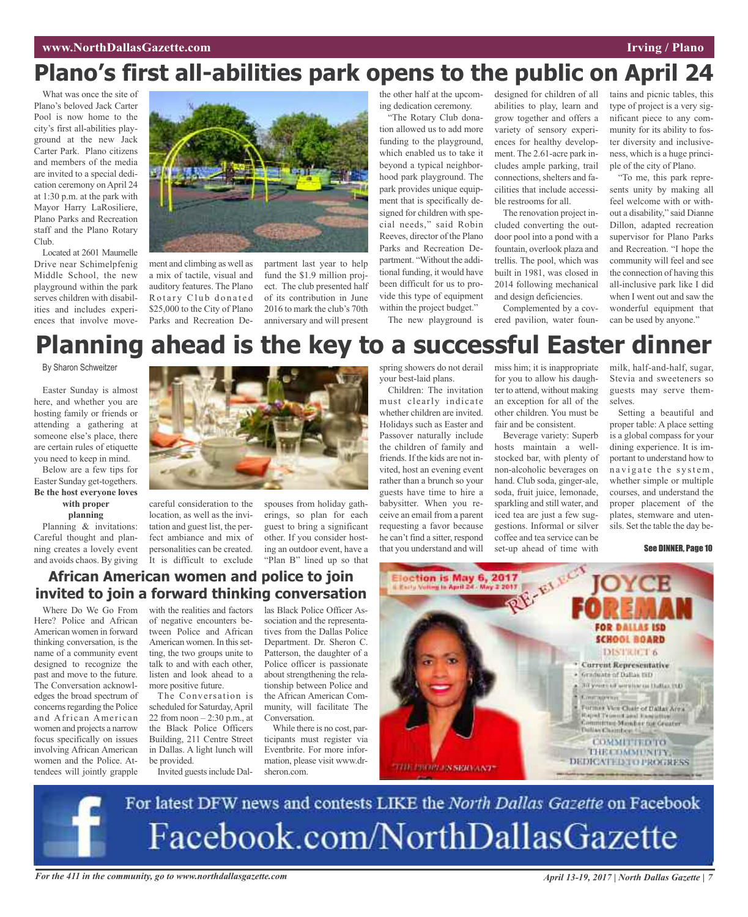### **Plano's first all-abilities park opens to the public on April 24**

What was once the site of Plano's beloved Jack Carter Pool is now home to the city's first all-abilities playground at the new Jack Carter Park. Plano citizens and members of the media are invited to a special dedication ceremony onApril 24 at 1:30 p.m. at the park with Mayor Harry LaRosiliere, Plano Parks and Recreation staff and the Plano Rotary Club.

Located at 2601 Maumelle Drive near Schimelpfenig Middle School, the new playground within the park serves children with disabilities and includes experiences that involve move-



ment and climbing as well as a mix of tactile, visual and auditory features. The Plano Rotary Club donated \$25,000 to the City of Plano Parks and Recreation De-

partment last year to help fund the \$1.9 million project. The club presented half of its contribution in June 2016 to mark the club's 70th anniversary and will present

the other half at the upcoming dedication ceremony.

"The Rotary Club donation allowed us to add more funding to the playground, which enabled us to take it beyond a typical neighborhood park playground. The park provides unique equipment that is specifically designed for children with special needs," said Robin Reeves, director of the Plano Parks and Recreation Department. "Without the additional funding, it would have been difficult for us to provide this type of equipment within the project budget." The new playground is

designed for children of all abilities to play, learn and grow together and offers a variety of sensory experiences for healthy development. The 2.61-acre park includes ample parking, trail connections, shelters and facilities that include accessible restrooms for all.

The renovation project included converting the outdoor pool into a pond with a fountain, overlook plaza and trellis. The pool, which was built in 1981, was closed in 2014 following mechanical and design deficiencies.

Complemented by a covered pavilion, water fountains and picnic tables, this type of project is a very significant piece to any community for its ability to foster diversity and inclusiveness, which is a huge principle of the city of Plano.

"To me, this park represents unity by making all feel welcome with or without a disability," said Dianne Dillon, adapted recreation supervisor for Plano Parks and Recreation. "I hope the community will feel and see the connection of having this all-inclusive park like I did when I went out and saw the wonderful equipment that can be used by anyone."

### **Planning ahead is the key to a successful Easter dinner**

By Sharon Schweitzer

Easter Sunday is almost here, and whether you are hosting family or friends or attending a gathering at someone else's place, there are certain rules of etiquette you need to keep in mind.

Below are a few tips for Easter Sunday get-togethers. **Be the host everyone loves with proper**

**planning**

Planning & invitations: Careful thought and planning creates a lovely event and avoids chaos. By giving



careful consideration to the location, as well as the invitation and guest list, the perfect ambiance and mix of personalities can be created. It is difficult to exclude

spouses from holiday gatherings, so plan for each guest to bring a significant other. If you consider hosting an outdoor event, have a "Plan B" lined up so that

### **African American women and police to join invited to join a forward thinking conversation**

Where Do We Go From Here? Police and African American women in forward thinking conversation, is the name of a community event designed to recognize the past and move to the future. The Conversation acknowledges the broad spectrum of concerns regarding the Police and African American women and projects a narrow focus specifically on issues involving African American women and the Police. Attendees will jointly grapple

with the realities and factors las Black Police Officer Asof negative encounters between Police and African American women. In this setting, the two groups unite to talk to and with each other, listen and look ahead to a more positive future.

The Conversation is scheduled for Saturday,April 22 from noon – 2:30 p.m., at the Black Police Officers Building, 211 Centre Street in Dallas. A light lunch will be provided.

Invited guests include Dal-

sociation and the representatives from the Dallas Police Department. Dr. Sheron C. Patterson, the daughter of a Police officer is passionate about strengthening the relationship between Police and the African American Community, will facilitate The Conversation.

While there is no cost, participants must register via Eventbrite. For more information, please visit www.drsheron.com.



Children: The invitation must clearly indicate whether children are invited. Holidays such as Easter and Passover naturally include the children of family and friends. If the kids are not invited, host an evening event rather than a brunch so your guests have time to hire a babysitter. When you receive an email from a parent requesting a favor because he can't find a sitter, respond that you understand and will

miss him; it is inappropriate for you to allow his daughter to attend, without making an exception for all of the other children. You must be fair and be consistent.

Beverage variety: Superb hosts maintain a wellstocked bar, with plenty of non-alcoholic beverages on hand. Club soda, ginger-ale, soda, fruit juice, lemonade, sparkling and still water, and iced tea are just a few suggestions. Informal or silver coffee and tea service can be set-up ahead of time with

milk, half-and-half, sugar, Stevia and sweeteners so guests may serve themselves.

Setting a beautiful and proper table: A place setting is a global compass for your dining experience. It is important to understand how to navigate the system, whether simple or multiple courses, and understand the proper placement of the plates, stemware and utensils. Set the table the day be-

#### See DINNER, Page 10



For latest DFW news and contests LIKE the North Dallas Gazette on Facebook Facebook.com/NorthDallasGazette

For the 411 in the community, go to www.northdallasgazette.com April 13-19, 2017 | North Dallas Gazette | 7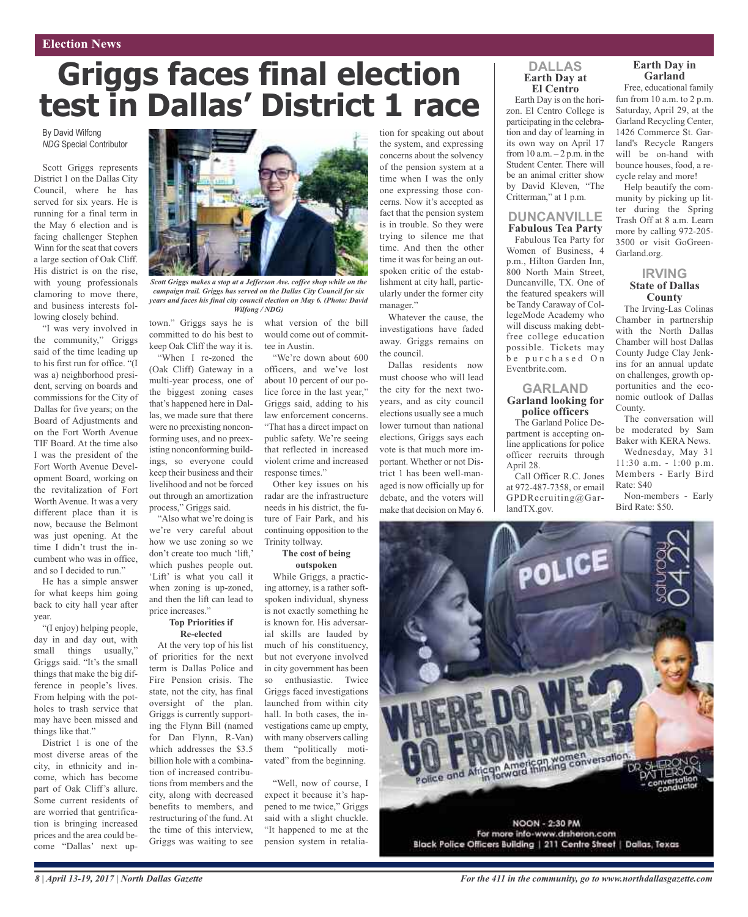# **Griggs faces final election test in Dallas' District 1 race**

### By David Wilfong *NDG* Special Contributor

Scott Griggs represents District 1 on the Dallas City Council, where he has served for six years. He is running for a final term in the May 6 election and is facing challenger Stephen Winn for the seat that covers a large section of Oak Cliff. His district is on the rise, with young professionals clamoring to move there, and business interests following closely behind.

"I was very involved in the community," Griggs said of the time leading up to his first run for office. "(I was a) neighborhood president, serving on boards and commissions for the City of Dallas for five years; on the Board of Adjustments and on the Fort Worth Avenue TIF Board. At the time also I was the president of the Fort Worth Avenue Development Board, working on the revitalization of Fort Worth Avenue. It was a very different place than it is now, because the Belmont was just opening. At the time I didn't trust the incumbent who was in office, and so I decided to run."

He has a simple answer for what keeps him going back to city hall year after year.

"(I enjoy) helping people, day in and day out, with small things usually," Griggs said. "It's the small things that make the big difference in people's lives. From helping with the potholes to trash service that may have been missed and things like that."

District 1 is one of the most diverse areas of the city, in ethnicity and income, which has become part of Oak Cliff's allure. Some current residents of are worried that gentrification is bringing increased prices and the area could become "Dallas' next up-



*Scott Griggs makes a stop at a Jefferson Ave. coffee shop while on the campaign trail. Griggs has served on the Dallas City Council for six years and faces his final city council election on May 6. (Photo: David Wilfong / NDG)*

town." Griggs says he is committed to do his best to keep Oak Cliff the way it is.

"When I re-zoned the (Oak Cliff) Gateway in a multi-year process, one of the biggest zoning cases that's happened here in Dallas, we made sure that there were no preexisting nonconforming uses, and no preexisting nonconforming buildings, so everyone could keep their business and their livelihood and not be forced out through an amortization process," Griggs said.

"Also what we're doing is we're very careful about how we use zoning so we don't create too much 'lift,' which pushes people out. 'Lift' is what you call it when zoning is up-zoned, and then the lift can lead to price increases."

#### **Top Priorities if Re-elected**

At the very top of his list of priorities for the next term is Dallas Police and Fire Pension crisis. The state, not the city, has final oversight of the plan. Griggs is currently supporting the Flynn Bill (named for Dan Flynn, R-Van) which addresses the \$3.5 billion hole with a combination of increased contributions from members and the city, along with decreased benefits to members, and restructuring of the fund. At the time of this interview, Griggs was waiting to see

what version of the bill would come out of committee in Austin.

"We're down about 600 officers, and we've lost about 10 percent of our police force in the last year," Griggs said, adding to his law enforcement concerns. "That has a direct impact on public safety. We're seeing that reflected in increased violent crime and increased response times."

Other key issues on his radar are the infrastructure needs in his district, the future of Fair Park, and his continuing opposition to the Trinity tollway.

#### **The cost of being outspoken**

While Griggs, a practicing attorney, is a rather softspoken individual, shyness is not exactly something he is known for. His adversarial skills are lauded by much of his constituency, but not everyone involved in city government has been so enthusiastic. Twice Griggs faced investigations launched from within city hall. In both cases, the investigations came up empty, with many observers calling them "politically motivated" from the beginning.

"Well, now of course, I expect it because it's happened to me twice," Griggs said with a slight chuckle. "It happened to me at the pension system in retaliation for speaking out about the system, and expressing concerns about the solvency of the pension system at a time when I was the only one expressing those concerns. Now it's accepted as fact that the pension system is in trouble. So they were trying to silence me that time. And then the other time it was for being an outspoken critic of the establishment at city hall, particularly under the former city manager."

Whatever the cause, the investigations have faded away. Griggs remains on the council.

Dallas residents now must choose who will lead the city for the next twoyears, and as city council elections usually see a much lower turnout than national elections, Griggs says each vote is that much more important. Whether or not District 1 has been well-managed is now officially up for debate, and the voters will make that decision on May 6.

### **DALLAS Earth Day at El Centro**

Earth Day is on the horizon. El Centro College is participating in the celebration and day of learning in its own way on April 17 from  $10$  a.m.  $-2$  p.m. in the Student Center. There will be an animal critter show by David Kleven, "The Critterman," at 1 p.m.

### **DUNCANVILLE Fabulous Tea Party**

Fabulous Tea Party for Women of Business, 4 p.m., Hilton Garden Inn, 800 North Main Street, Duncanville, TX. One of the featured speakers will be Tandy Caraway of CollegeMode Academy who will discuss making debtfree college education possible. Tickets may b e p u r c h a s e d O n Eventbrite.com.

### **GARLAND Garland looking for police officers**

The Garland Police Department is accepting online applications for police officer recruits through April 28.

Call Officer R.C. Jones at 972-487-7358, or email GPDRecruiting@GarlandTX.gov.

**Earth Day in Garland**

Free, educational family fun from 10 a.m. to 2 p.m. Saturday, April 29, at the Garland Recycling Center, 1426 Commerce St. Garland's Recycle Rangers will be on-hand with bounce houses, food, a recycle relay and more!

Help beautify the community by picking up litter during the Spring Trash Off at 8 a.m. Learn more by calling 972-205- 3500 or visit GoGreen-Garland.org.

### **IRVING State of Dallas County**

The Irving-Las Colinas Chamber in partnership with the North Dallas Chamber will host Dallas County Judge Clay Jenkins for an annual update on challenges, growth opportunities and the economic outlook of Dallas County.

The conversation will be moderated by Sam Baker with KERA News.

Wednesday, May 31 11:30 a.m. - 1:00 p.m. Members - Early Bird Rate: \$40

Non-members - Early Bird Rate: \$50.

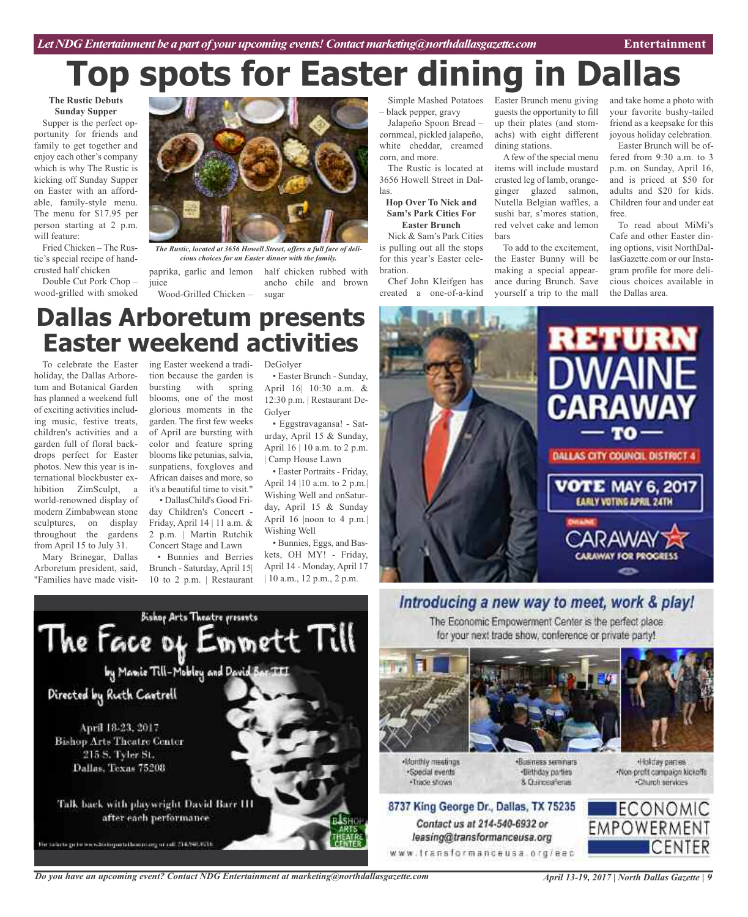# **Top spots for Easter dining in Dallas**

### **The Rustic Debuts Sunday Supper**

Supper is the perfect opportunity for friends and family to get together and enjoy each other's company which is why The Rustic is kicking off Sunday Supper on Easter with an affordable, family-style menu. The menu for \$17.95 per person starting at 2 p.m. will feature:

Fried Chicken – The Rustic's special recipe of handcrusted half chicken

Double Cut Pork Chop – wood-grilled with smoked



*The Rustic, located at 3656 Howell Street, offers a full fare of delicious choices for an Easter dinner with the family.*

paprika, garlic and lemon half chicken rubbed with Wood-Grilled Chicken – ancho chile and brown sugar

Simple Mashed Potatoes – black pepper, gravy

Jalapeño Spoon Bread –

cornmeal, pickled jalapeño, white cheddar, creamed corn, and more. The Rustic is located at

3656 Howell Street in Dallas.

**Hop Over To Nick and Sam's Park Cities For Easter Brunch**

Nick & Sam's Park Cities is pulling out all the stops for this year's Easter celebration.

Chef John Kleifgen has created a one-of-a-kind

Easter Brunch menu giving guests the opportunity to fill up their plates (and stomachs) with eight different dining stations.

A few of the special menu items will include mustard crusted leg of lamb, orangeginger glazed salmon, Nutella Belgian waffles, a sushi bar, s'mores station, red velvet cake and lemon bars

To add to the excitement, the Easter Bunny will be making a special appearance during Brunch. Save and take home a photo with your favorite bushy-tailed friend as a keepsake for this joyous holiday celebration.

Easter Brunch will be offered from 9:30 a.m. to 3 p.m. on Sunday, April 16, and is priced at \$50 for adults and \$20 for kids. Children four and under eat free.

To read about MiMi's Cafe and other Easter dining options, visit NorthDallasGazette.com or our Instagram profile for more delicious choices available in

### **Dallas Arboretum presents Easter weekend activities** DeGolyer

juice

holiday, the Dallas Arboretum and Botanical Garden has planned a weekend full of exciting activities including music, festive treats, children's activities and a garden full of floral backdrops perfect for Easter photos. New this year is international blockbuster exhibition ZimSculpt, a world-renowned display of modern Zimbabwean stone sculptures, on display throughout the gardens from April 15 to July 31.

Mary Brinegar, Dallas Arboretum president, said, "Families have made visit-

To celebrate the Easter ing Easter weekend a tradition because the garden is bursting with spring blooms, one of the most glorious moments in the garden. The first few weeks of April are bursting with color and feature spring blooms like petunias, salvia, sunpatiens, foxgloves and African daises and more, so it's a beautiful time to visit."

> • DallasChild's Good Friday Children's Concert - Friday, April 14 | 11 a.m. & 2 p.m. | Martin Rutchik Concert Stage and Lawn

• Bunnies and Berries Brunch - Saturday, April 15| 10 to 2 p.m. | Restaurant

• Easter Brunch - Sunday, April 16| 10:30 a.m. & 12:30 p.m. | Restaurant De-Golyer

• Eggstravagansa! - Saturday, April 15 & Sunday, April 16 | 10 a.m. to 2 p.m. | Camp House Lawn

• Easter Portraits - Friday, April 14 |10 a.m. to 2 p.m.| Wishing Well and onSaturday, April 15 & Sunday April 16 |noon to 4 p.m.| Wishing Well

• Bunnies, Eggs, and Baskets, OH MY! - Friday, April 14 - Monday, April 17 | 10 a.m., 12 p.m., 2 p.m.





Introducing a new way to meet, work & play!

The Economic Empowerment Center is the perfect place for your next trade show, conference or private party!



Nonthly meetings ·Special events ·Trade shows



·Business seminars

·Birthday parties

8. Curicea Tenas

Contact us at 214-540-6932 or

leasing@transformanceusa.org

Holday parties. -Non-profit compaign kickoffs Church services



*Do you have an upcoming event? Contact NDG Entertainment at marketing@northdallasgazette.com*

*April 13-19, 2017 | North Dallas Gazette | 9*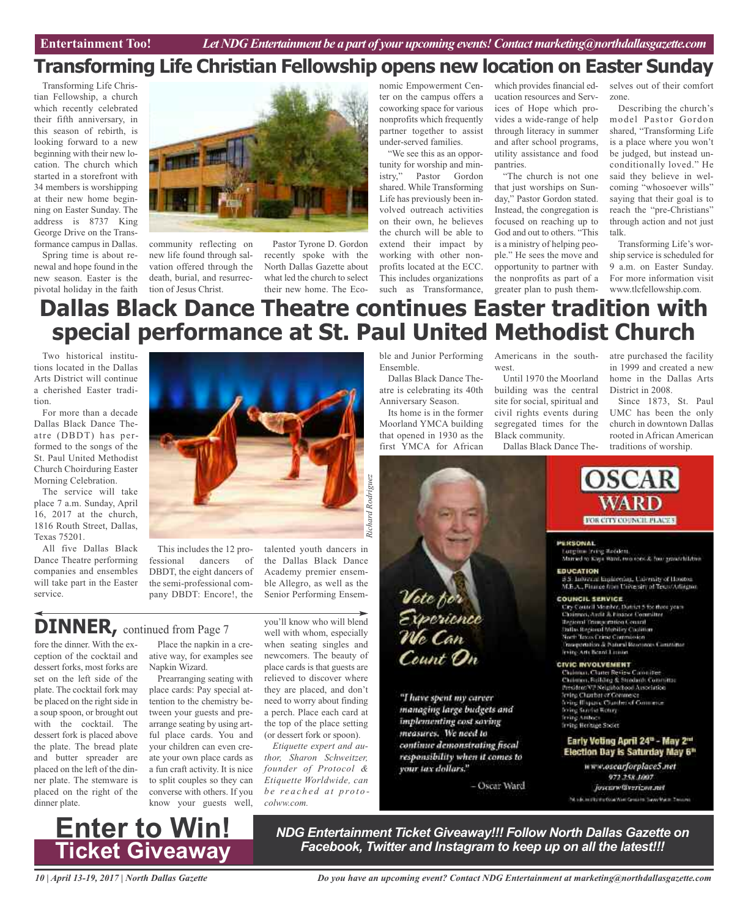### **Transforming Life Christian Fellowship opens new location on Easter Sunday**

Transforming Life Christian Fellowship, a church which recently celebrated their fifth anniversary, in this season of rebirth, is looking forward to a new beginning with their new location. The church which started in a storefront with 34 members is worshipping at their new home beginning on Easter Sunday. The address is 8737 King George Drive on the Transformance campus in Dallas.

Spring time is about renewal and hope found in the new season. Easter is the pivotal holiday in the faith



community reflecting on new life found through salvation offered through the death, burial, and resurrection of Jesus Christ.

Pastor Tyrone D. Gordon recently spoke with the North Dallas Gazette about what led the church to select their new home. The Eco-

nomic Empowerment Center on the campus offers a coworking space for various nonprofits which frequently partner together to assist under-served families.

"We see this as an opportunity for worship and ministry," Pastor Gordon shared. While Transforming Life has previously been involved outreach activities on their own, he believes the church will be able to extend their impact by working with other nonprofits located at the ECC. This includes organizations such as Transformance,

which provides financial education resources and Services of Hope which provides a wide-range of help through literacy in summer and after school programs, utility assistance and food pantries.

"The church is not one that just worships on Sunday," Pastor Gordon stated. Instead, the congregation is focused on reaching up to God and out to others. "This is a ministry of helping people." He sees the move and opportunity to partner with the nonprofits as part of a greater plan to push them-

selves out of their comfort zone.

Describing the church's model Pastor Gordon shared, "Transforming Life is a place where you won't be judged, but instead unconditionally loved." He said they believe in welcoming "whosoever wills" saying that their goal is to reach the "pre-Christians" through action and not just talk.

Transforming Life's worship service is scheduled for 9 a.m. on Easter Sunday. For more information visit www.tlcfellowship.com.

### **Dallas Black Dance Theatre continues Easter tradition with special performance at St. Paul United Methodist Church**

*Richard*

*Rodriguez*

Two historical institutions located in the Dallas Arts District will continue a cherished Easter tradition.

For more than a decade Dallas Black Dance Theatre (DBDT) has performed to the songs of the St. Paul United Methodist Church Choirduring Easter Morning Celebration.

The service will take place 7 a.m. Sunday, April 16, 2017 at the church, 1816 Routh Street, Dallas, Texas 75201.

All five Dallas Black Dance Theatre performing companies and ensembles will take part in the Easter service.



This includes the 12 professional dancers of DBDT, the eight dancers of the semi-professional company DBDT: Encore!, the

talented youth dancers in the Dallas Black Dance Academy premier ensemble Allegro, as well as the Senior Performing Ensem-

### **DINNER,** continued from Page <sup>7</sup>

fore the dinner. With the exception of the cocktail and dessert forks, most forks are set on the left side of the plate. The cocktail fork may be placed on the right side in a soup spoon, or brought out with the cocktail. The dessert fork is placed above the plate. The bread plate and butter spreader are placed on the left of the dinner plate. The stemware is placed on the right of the dinner plate.

Place the napkin in a creative way, for examples see Napkin Wizard.

Prearranging seating with place cards: Pay special attention to the chemistry between your guests and prearrange seating by using artful place cards. You and your children can even create your own place cards as a fun craft activity. It is nice to split couples so they can converse with others. If you know your guests well,

you'll know who will blend well with whom, especially when seating singles and newcomers. The beauty of place cards is that guests are relieved to discover where they are placed, and don't need to worry about finding a perch. Place each card at the top of the place setting (or dessert fork or spoon).

*Etiquette expert and author, Sharon Schweitzer, founder of Protocol & Etiquette Worldwide, can b e r e a c h e d a t p ro t o colww.com.*

### ble and Junior Performing Ensemble.

Dallas Black Dance Theatre is celebrating its 40th Anniversary Season.

Its home is in the former Moorland YMCA building that opened in 1930 as the first YMCA for African

Americans in the southwest.

Until 1970 the Moorland building was the central site for social, spiritual and civil rights events during segregated times for the Black community.

Dallas Black Dance The-

atre purchased the facility in 1999 and created a new home in the Dallas Arts District in 2008.

Since 1873, St. Paul UMC has been the only church in downtown Dallas rooted in African American traditions of worship.

Vote for<br>Experience<br>We Can Count On

"I have spent my career managing large budgets and implementing cost soving measures. We need to continue demonstrating fiscal responsibility when it comes to your tax dollars."

- Oscar Ward



#### PERSONAL

Lorgina Fring Redders.<br>Maried to Kiya Wani, two tops & hou grast bildren.

EDUCATION 8.5. Informal Engineering, University of Houston.<br>M.B.A., Pinnee hom University of Texas/Adiagon

#### COUNCIL SERVICE

City Coutell Monber, Datrict 5 for those years<br>Chairmei, Avrilt & Finance Committee Regional Prince mation Council<br>Stallas Regional Mobility Coultiver North Taxos Crime Commission<br>Preseportation & Natural Resources Contrainer Irving Arts Beard Linisht

#### **CIVIC INVOLVEMENT**

Chainnas, Chaner Revisio Cannairee<br>Chainnes, Fediding & Stradards Committee<br>Président VII Neighborhood Association fering Chartter of Commerce Aving University Commerce<br>Aving Stanles Worder of Commerce<br>Aving Stanles World Anthoco frring Hermage Space

#### Early Voting April 24<sup>th</sup> - May 2<sup>nd</sup> Election Day is Saturday May 6<sup>16</sup>

www.oscarforplace5.net 972.258.1007 jouww@verizon.net Node in the the Ostal Want Centring Savey Maker Theaster



*NDG Entertainment Ticket Giveaway!!! Follow North Dallas Gazette on Facebook, Twitter and Instagram to keep up on all the latest!!!*

*10 | April 13-19, 2017 | North Dallas Gazette*

*Do you have an upcoming event? Contact NDG Entertainment at marketing@northdallasgazette.com*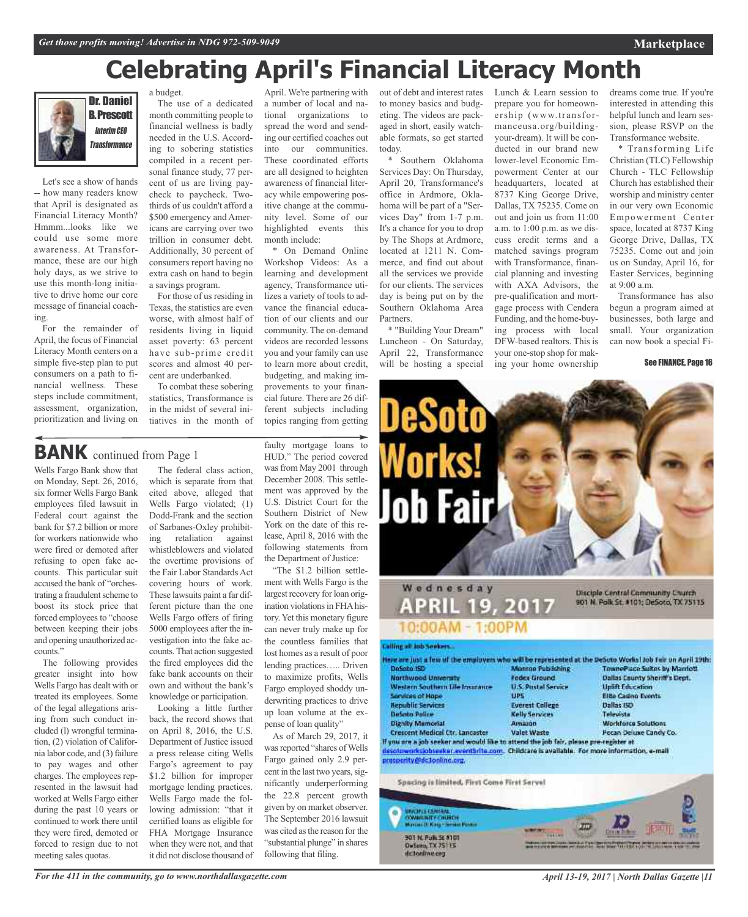April. We're partnering with a number of local and national organizations to spread the word and sending our certified coaches out into our communities. These coordinated efforts are all designed to heighten awareness of financial literacy while empowering positive change at the community level. Some of our highlighted events this

month include:

\* On Demand Online Workshop Videos: As a learning and development agency, Transformance utilizes a variety of tools to advance the financial education of our clients and our community. The on-demand videos are recorded lessons you and your family can use



Let's see a show of hands -- how many readers know that April is designated as Financial Literacy Month? Hmmm...looks like we could use some more awareness. At Transformance, these are our high holy days, as we strive to use this month-long initiative to drive home our core message of financial coaching.

For the remainder of April, the focus of Financial Literacy Month centers on a simple five-step plan to put consumers on a path to financial wellness. These steps include commitment, assessment, organization, prioritization and living on

a budget. The use of a dedicated month committing people to financial wellness is badly needed in the U.S. According to sobering statistics compiled in a recent personal finance study, 77 percent of us are living pay-

check to paycheck. Twothirds of us couldn't afford a \$500 emergency and Americans are carrying over two trillion in consumer debt. Additionally, 30 percent of consumers report having no extra cash on hand to begin a savings program.

For those of us residing in Texas, the statistics are even worse, with almost half of residents living in liquid asset poverty: 63 percent have sub-prime credit scores and almost 40 percent are underbanked.

To combat these sobering statistics, Transformance is in the midst of several initiatives in the month of

### The federal class action, **BANK** continued from Page <sup>1</sup>

Wells Fargo Bank show that on Monday, Sept. 26, 2016, six former Wells Fargo Bank employees filed lawsuit in Federal court against the bank for \$7.2 billion or more for workers nationwide who were fired or demoted after refusing to open fake accounts. This particular suit accused the bank of "orchestrating a fraudulent scheme to boost its stock price that forced employees to "choose between keeping their jobs and opening unauthorized accounts."

The following provides greater insight into how Wells Fargo has dealt with or treated its employees. Some of the legal allegations arising from such conduct included (l) wrongful termination, (2) violation of California labor code, and (3) failure to pay wages and other charges. The employees represented in the lawsuit had worked at Wells Fargo either during the past 10 years or continued to work there until they were fired, demoted or forced to resign due to not meeting sales quotas.

which is separate from that cited above, alleged that Wells Fargo violated; (1) Dodd-Frank and the section of Sarbanes-Oxley prohibiting retaliation against whistleblowers and violated the overtime provisions of the Fair Labor Standards Act covering hours of work. These lawsuits paint a far different picture than the one Wells Fargo offers of firing 5000 employees after the investigation into the fake accounts.That action suggested the fired employees did the fake bank accounts on their own and without the bank's knowledge or participation.

Looking a little further back, the record shows that on April 8, 2016, the U.S. Department of Justice issued a press release citing Wells Fargo's agreement to pay \$1.2 billion for improper mortgage lending practices. Wells Fargo made the following admission: "that it certified loans as eligible for FHA Mortgage Insurance when they were not, and that it did not disclose thousand of faulty mortgage loans to HUD." The period covered was from May 2001 through December 2008. This settlement was approved by the U.S. District Court for the Southern District of New York on the date of this release, April 8, 2016 with the following statements from the Department of Justice:

budgeting, and making improvements to your financial future. There are 26 different subjects including topics ranging from getting

"The \$1.2 billion settlement with Wells Fargo is the largest recovery for loan origination violations in FHA history.Yet this monetary figure can never truly make up for the countless families that lost homes as a result of poor lending practices….. Driven to maximize profits, Wells Fargo employed shoddy underwriting practices to drive up loan volume at the expense of loan quality"

As of March 29, 2017, it was reported "shares of Wells Fargo gained only 2.9 percent in the last two years, significantly underperforming the 22.8 percent growth given by on market observer. The September 2016 lawsuit was cited as the reason for the "substantial plunge" in shares following that filing.

out of debt and interest rates to money basics and budgeting. The videos are packaged in short, easily watchable formats, so get started today.

Southern Oklahoma Services Day: On Thursday, April 20, Transformance's office in Ardmore, Oklahoma will be part of a "Services Day" from 1-7 p.m. It's a chance for you to drop by The Shops at Ardmore, located at 1211 N. Commerce, and find out about all the services we provide for our clients. The services day is being put on by the Southern Oklahoma Area Partners.

\* "Building Your Dream" Luncheon - On Saturday, April 22, Transformance will be hosting a special Lunch & Learn session to prepare you for homeownership (www.transformanceusa.org/buildingyour-dream). It will be conducted in our brand new lower-level Economic Empowerment Center at our headquarters, located at 8737 King George Drive, Dallas, TX 75235. Come on out and join us from 11:00 a.m. to 1:00 p.m. as we discuss credit terms and a matched savings program with Transformance, financial planning and investing with AXA Advisors, the pre-qualification and mortgage process with Cendera Funding, and the home-buying process with local DFW-based realtors. This is your one-stop shop for making your home ownership

dreams come true. If you're interested in attending this helpful lunch and learn session, please RSVP on the Transformance website.

\* Transforming Life Christian (TLC) Fellowship Church - TLC Fellowship Church has established their worship and ministry center in our very own Economic Empowerment Center space, located at 8737 King George Drive, Dallas, TX 75235. Come out and join us on Sunday, April 16, for Easter Services, beginning at 9:00 a.m.

Transformance has also begun a program aimed at businesses, both large and small. Your organization can now book a special Fi-

See FINANCE, Page 16



if you are a job seeker and would like to attend the job fair, please pre-register at loworksjobseeker.weertbrite.com. Childcare is available. For more information, e-mail prosperity@dcJonline.org.

Spacing is limited, First Come First Servel



*For the 411 in the community, go to www.northdallasgazette.com*

*April 13-19, 2017 | North Dallas Gazette |11*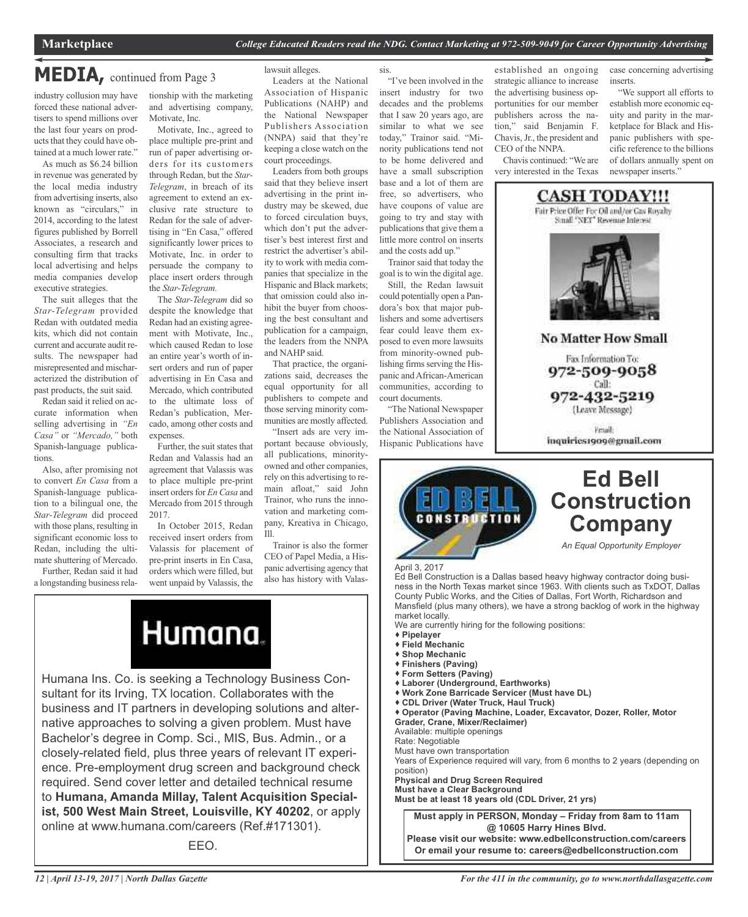### **MEDIA,** continued from Page <sup>3</sup>

industry collusion may have forced these national advertisers to spend millions over the last four years on products that they could have obtained at a much lower rate."

As much as \$6.24 billion in revenue was generated by the local media industry from advertising inserts, also known as "circulars," in 2014, according to the latest figures published by Borrell Associates, a research and consulting firm that tracks local advertising and helps media companies develop executive strategies.

The suit alleges that the *Star-Telegram* provided Redan with outdated media kits, which did not contain current and accurate audit results. The newspaper had misrepresented and mischaracterized the distribution of past products, the suit said.

Redan said it relied on accurate information when selling advertising in *"En Casa"* or *"Mercado,"* both Spanish-language publications.

Also, after promising not to convert *En Casa* from a Spanish-language publication to a bilingual one, the *Star-Telegram* did proceed with those plans, resulting in significant economic loss to Redan, including the ultimate shuttering of Mercado.

Further, Redan said it had a longstanding business relationship with the marketing and advertising company, Motivate, Inc.

Motivate, Inc., agreed to place multiple pre-print and run of paper advertising orders for its customers through Redan, but the *Star-Telegram*, in breach of its agreement to extend an exclusive rate structure to Redan for the sale of advertising in "En Casa," offered significantly lower prices to Motivate, Inc. in order to persuade the company to place insert orders through the *Star-Telegram.*

The *Star-Telegram* did so despite the knowledge that Redan had an existing agreement with Motivate, Inc., which caused Redan to lose an entire year's worth of insert orders and run of paper advertising in En Casa and Mercado, which contributed to the ultimate loss of Redan's publication, Mercado, among other costs and expenses.

Further, the suit states that Redan and Valassis had an agreement that Valassis was to place multiple pre-print insert orders for *En Casa* and Mercado from 2015 through 2017.

In October 2015, Redan received insert orders from Valassis for placement of pre-print inserts in En Casa, orders which were filled, but went unpaid by Valassis, the

Association of Hispanic Publications (NAHP) and the National Newspaper Publishers Association (NNPA) said that they're

> Leaders from both groups said that they believe insert advertising in the print industry may be skewed, due to forced circulation buys, which don't put the advertiser's best interest first and restrict the advertiser's ability to work with media companies that specialize in the Hispanic and Black markets; that omission could also inhibit the buyer from choosing the best consultant and publication for a campaign, the leaders from the NNPA and NAHP said.

> That practice, the organizations said, decreases the equal opportunity for all publishers to compete and those serving minority communities are mostly affected.

> "Insert ads are very important because obviously, all publications, minorityowned and other companies, rely on this advertising to remain afloat," said John Trainor, who runs the innovation and marketing company, Kreativa in Chicago, Ill.

> Trainor is also the former CEO of Papel Media, a Hispanic advertising agency that also has history with Valas-

# Humana.

Humana Ins. Co. is seeking a Technology Business Consultant for its Irving, TX location. Collaborates with the business and IT partners in developing solutions and alternative approaches to solving a given problem. Must have Bachelor's degree in Comp. Sci., MIS, Bus. Admin., or a closely-related field, plus three years of relevant IT experience. Pre-employment drug screen and background check required. Send cover letter and detailed technical resume to **Humana, Amanda Millay, Talent Acquisition Specialist, 500 West Main Street, Louisville, KY 40202**, or apply online at www.humana.com/careers (Ref.#171301).

EEO.

lawsuit alleges.

Leaders at the National keeping a close watch on the court proceedings. "I've been involved in the insert industry for two decades and the problems that I saw 20 years ago, are similar to what we see today," Trainor said. "Minority publications tend not to be home delivered and have a small subscription

sis.

base and a lot of them are free, so advertisers, who have coupons of value are going to try and stay with publications that give them a little more control on inserts and the costs add up." Trainor said that today the goal isto win the digital age. Still, the Redan lawsuit could potentially open a Pandora's box that major pub-

lishers and some advertisers fear could leave them exposed to even more lawsuits from minority-owned publishing firms serving the Hispanic andAfrican-American communities, according to court documents.

"The National Newspaper Publishers Association and the National Association of Hispanic Publications have established an ongoing strategic alliance to increase the advertising business opportunities for our member publishers across the nation," said Benjamin F. Chavis,Jr., the president and CEO of the NNPA.

Chavis continued: "We are very interested in the Texas

case concerning advertising inserts.

"We support all efforts to establish more economic equity and parity in the marketplace for Black and Hispanic publishers with specific reference to the billions of dollars annually spent on newspaper inserts."



Fax Information To: 972-509-9058 Call: 972-432-5219 (Leave Message)

Friail: inquiries1909@gmail.com

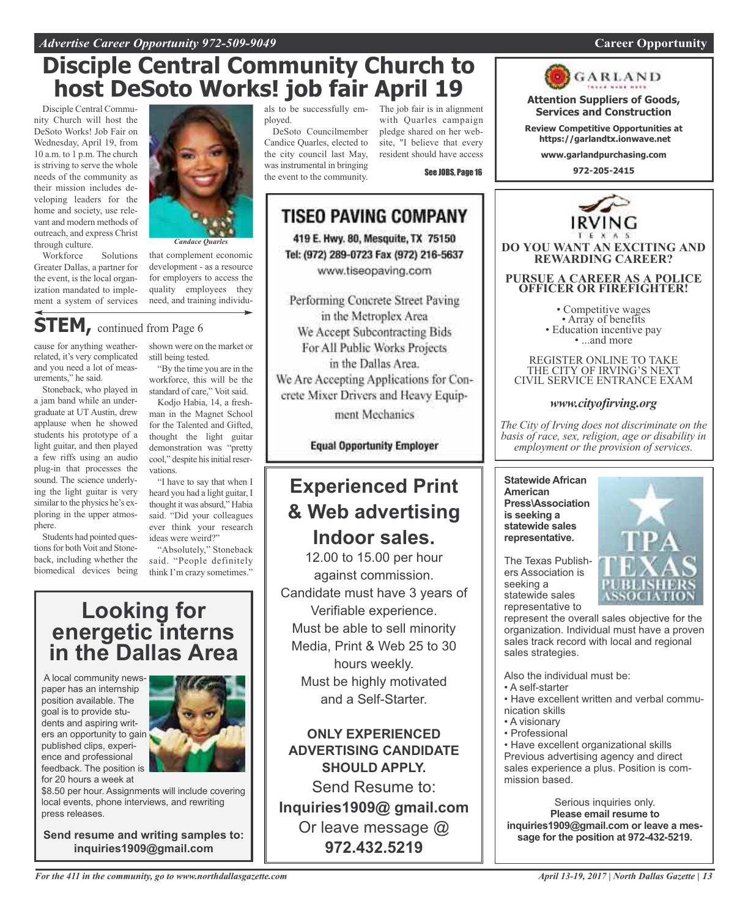### The job fair is in alignment **Disciple Central Community Church to host DeSoto Works! job fair April 19**

Disciple Central Community Church will host the DeSoto Works! Job Fair on Wednesday, April 19, from 10 a.m. to 1 p.m. The church is striving to serve the whole needs of the community as their mission includes developing leaders for the home and society, use relevant and modern methods of outreach, and express Christ through culture.

Workforce Solutions Greater Dallas, a partner for the event, is the local organization mandated to implement a system of services



that complement economic development - as a resource for employers to access the quality employees they need, and training individu-

### **STEM,** continued from Page <sup>6</sup>

cause for anything weatherrelated, it's very complicated and you need a lot of measurements," he said.

Stoneback, who played in a jam band while an undergraduate at UT Austin, drew applause when he showed students his prototype of a light guitar, and then played a few riffs using an audio plug-in that processes the sound. The science underlying the light guitar is very similar to the physics he's exploring in the upper atmosphere.

Students had pointed questions for both Voit and Stoneback, including whether the biomedical devices being shown were on the market or still being tested.

"By the time you are in the workforce, this will be the standard of care," Voit said.

Kodjo Habia, 14, a freshman in the Magnet School for the Talented and Gifted, thought the light guitar demonstration was "pretty cool," despite his initial reservations.

"I have to say that when I heard you had a light guitar, I thought it was absurd," Habia said. "Did your colleagues ever think your research ideas were weird?"

"Absolutely," Stoneback said. "People definitely think I'm crazy sometimes."

### **Looking for energetic interns in the Dallas Area**

A local community newspaper has an internship position available. The goal is to provide students and aspiring writers an opportunity to gain published clips, experience and professional feedback. The position is for 20 hours a week at



\$8.50 per hour. Assignments will include covering local events, phone interviews, and rewriting press releases.

**Send resume and writing samples to: inquiries1909@gmail.com**

als to be successfully employed.

DeSoto Councilmember Candice Quarles, elected to the city council last May, was instrumental in bringing the event to the community.

with Quarles campaign pledge shared on her website, "I believe that every resident should have access

See JOBS, Page 16

### **TISEO PAVING COMPANY**

419 E. Hwy. 80, Mesquite, TX 75150 Tel: (972) 289-0723 Fax (972) 216-5637 www.tiseopaving.com

Performing Concrete Street Paving in the Metroplex Area We Accept Subcontracting Bids For All Public Works Projects in the Dallas Area. We Are Accepting Applications for Concrete Mixer Drivers and Heavy Equip-

ment Mechanics

### **Equal Opportunity Employer**

### **Experienced Print & Web advertising Indoor sales.**

12.00 to 15.00 per hour against commission. Candidate must have 3 years of Verifiable experience. Must be able to sell minority Media, Print & Web 25 to 30 hours weekly. Must be highly motivated and a Self-Starter.

**ONLY EXPERIENCED ADVERTISING CANDIDATE SHOULD APPLY.**

Send Resume to: **Inquiries1909@ gmail.com** Or leave message @ **972.432.5219**



**Attention Suppliers of Goods, Services and Construction Review Competitive Opportunities at**

GARLAND



**DO YOU WANT AN EXCITING AND REWARDING CAREER?**

**PURSUE A CAREER AS A POLICE OFFICER OR FIREFIGHTER!**

• Competitive wages<br>• Array of benefits<br>• Education incentive pay<br>• ...and more

REGISTER ONLINE TO TAKE THE CITY OF IRVING'S NEXT CIVIL SERVICE ENTRANCE EXAM

### *www.cityofirving.org*

*The City of Irving does not discriminate on the basis of race, sex, religion, age or disability in employment or the provision of services.*

**Statewide African American Press\Association is seeking a statewide sales representative.**



The Texas Publishers Association is seeking a statewide sales representative to

represent the overall sales objective for the organization. Individual must have a proven sales track record with local and regional sales strategies.

Also the individual must be:

- A self-starter
- Have excellent written and verbal communication skills
- A visionary
- Professional

• Have excellent organizational skills Previous advertising agency and direct sales experience a plus. Position is commission based.

Serious inquiries only. **Please email resume to inquiries1909@gmail.com or leave a message for the position at 972-432-5219.**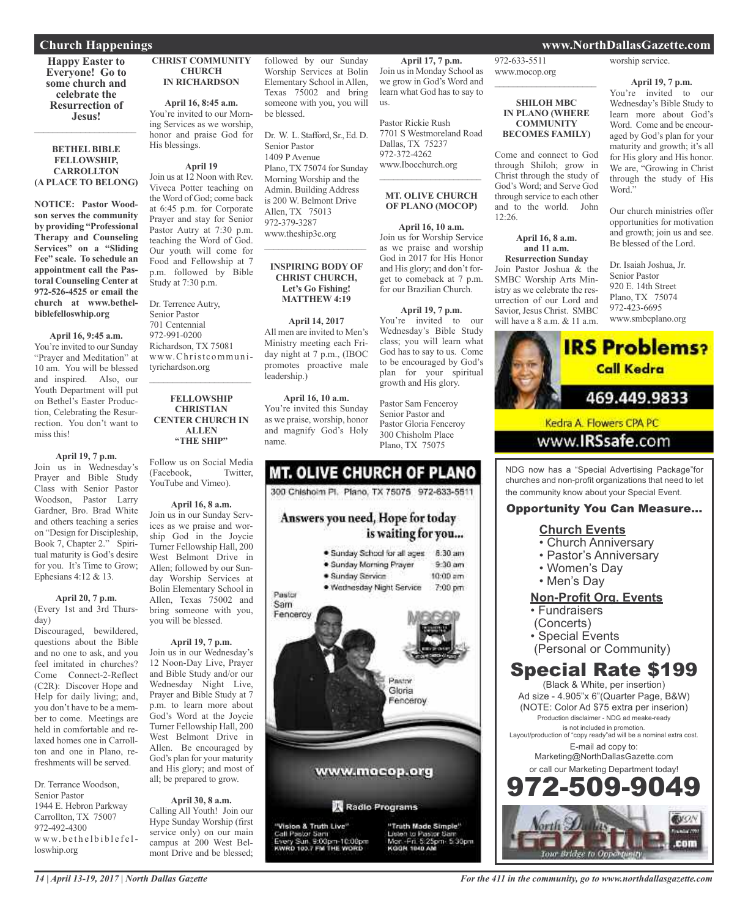**Happy Easter to Everyone! Go to some church and celebrate the Resurrection of Jesus!**

#### **BETHEL BIBLE FELLOWSHIP, CARROLLTON (A PLACE TO BELONG)**

 $\overline{\phantom{a}}$  , and the set of the set of the set of the set of the set of the set of the set of the set of the set of the set of the set of the set of the set of the set of the set of the set of the set of the set of the s

**NOTICE: Pastor Woodson serves the community by providing "Professional Therapy and Counseling Services" on a "Sliding Fee" scale. To schedule an appointment call the Pastoral Counseling Center at 972-526-4525 or email the church at www.bethelbiblefelloswhip.org**

### **April 16, 9:45 a.m.**

You're invited to our Sunday "Prayer and Meditation" at 10 am. You will be blessed and inspired. Also, our Youth Department will put on Bethel's Easter Production, Celebrating the Resurrection. You don't want to miss this!

#### **April 19, 7 p.m.**

Join us in Wednesday's Prayer and Bible Study Class with Senior Pastor Woodson, Pastor Larry Gardner, Bro. Brad White and others teaching a series on "Design for Discipleship, Book 7, Chapter 2." Spiritual maturity is God's desire for you. It's Time to Grow; Ephesians 4:12 & 13.

### **April 20, 7 p.m.**

(Every 1st and 3rd Thursday)

Discouraged, bewildered, questions about the Bible and no one to ask, and you feel imitated in churches? Come Connect-2-Reflect (C2R): Discover Hope and Help for daily living; and, you don't have to be a member to come. Meetings are held in comfortable and relaxed homes one in Carrollton and one in Plano, refreshments will be served.

Dr. Terrance Woodson, Senior Pastor 1944 E. Hebron Parkway Carrollton, TX 75007 972-492-4300 www.bethelbiblefelloswhip.org

#### **CHRIST COMMUNITY CHURCH IN RICHARDSON**

**April 16, 8:45 a.m.** You're invited to our Morning Services as we worship, honor and praise God for His blessings.

#### **April 19**

Join us at 12 Noon with Rev. Viveca Potter teaching on the Word of God; come back at 6:45 p.m. for Corporate Prayer and stay for Senior Pastor Autry at 7:30 p.m. teaching the Word of God. Our youth will come for Food and Fellowship at 7 p.m. followed by Bible Study at 7:30 p.m.

#### Dr. Terrence Autry, Senior Pastor 701 Centennial 972-991-0200 Richardson, TX 75081 www.Christcommunityrichardson.org  $\mathcal{L}_\text{max}$  , where  $\mathcal{L}_\text{max}$  and  $\mathcal{L}_\text{max}$

**FELLOWSHIP CHRISTIAN CENTER CHURCH IN ALLEN "THE SHIP"**

Follow us on Social Media (Facebook, Twitter, YouTube and Vimeo).

#### **April 16, 8 a.m.** Join us in our Sunday Services as we praise and worship God in the Joycie Turner Fellowship Hall, 200 West Belmont Drive in Allen; followed by our Sunday Worship Services at Bolin Elementary School in Allen, Texas 75002 and bring someone with you, you will be blessed.

**April 19, 7 p.m.** Join us in our Wednesday's 12 Noon-Day Live, Prayer and Bible Study and/or our Wednesday Night Live, Prayer and Bible Study at 7 p.m. to learn more about God's Word at the Joycie Turner Fellowship Hall, 200 West Belmont Drive in Allen. Be encouraged by God's plan for your maturity and His glory; and most of all; be prepared to grow.

#### **April 30, 8 a.m.** Calling All Youth! Join our Hype Sunday Worship (first service only) on our main campus at 200 West Belmont Drive and be blessed;

followed by our Sunday Worship Services at Bolin Elementary School in Allen, Texas 75002 and bring someone with you, you will be blessed.

Dr. W. L. Stafford, Sr., Ed. D. Senior Pastor 1409 PAvenue Plano, TX 75074 for Sunday Morning Worship and the Admin. Building Address is 200 W. Belmont Drive Allen, TX 75013 972-379-3287 www.theship3c.org

#### **INSPIRING BODY OF CHRIST CHURCH, Let's Go Fishing! MATTHEW 4:19**

 $\mathcal{L}_\text{max}$  and  $\mathcal{L}_\text{max}$  and  $\mathcal{L}_\text{max}$ 

#### **April 14, 2017** All men are invited to Men's Ministry meeting each Friday night at 7 p.m., (IBOC promotes proactive male leadership.)

**April 16, 10 a.m.**

You're invited this Sunday as we praise, worship, honor and magnify God's Holy name.



Join usin Monday School as we grow in God's Word and 972-633-5511 www.mocop.org  $\overline{\phantom{a}}$  , and the set of the set of the set of the set of the set of the set of the set of the set of the set of the set of the set of the set of the set of the set of the set of the set of the set of the set of the s

**April 17, 7 p.m.**

learn what God has to say to

7701 S Westmoreland Road

**April 16, 10 a.m.** Join us for Worship Service as we praise and worship God in 2017 for His Honor and His glory; and don't forget to comeback at 7 p.m. for our Brazilian Church.

**April 19, 7 p.m.** You're invited to our Wednesday's Bible Study class; you will learn what God has to say to us. Come to be encouraged by God's plan for your spiritual growth and His glory.

Pastor Sam Fenceroy Senior Pastor and Pastor Gloria Fenceroy 300 Chisholm Place Plano, TX 75075

Pastor Rickie Rush

Dallas, TX 75237 972-372-4262 www.Ibocchurch.org  $\overline{\phantom{a}}$  , and the set of the set of the set of the set of the set of the set of the set of the set of the set of the set of the set of the set of the set of the set of the set of the set of the set of the set of the s **MT. OLIVE CHURCH OF PLANO (MOCOP)**

us.

#### **SHILOH MBC IN PLANO (WHERE COMMUNITY BECOMES FAMILY)**

Come and connect to God through Shiloh; grow in Christ through the study of God's Word; and Serve God through service to each other and to the world. John 12:26.

### **April 16, 8 a.m. and 11 a.m.**

**Resurrection Sunday** Join Pastor Joshua & the SMBC Worship Arts Ministry as we celebrate the resurrection of our Lord and Savior,Jesus Christ. SMBC will have a 8 a.m. & 11 a.m.

worship service.

#### **April 19, 7 p.m.**

You're invited to our Wednesday's Bible Study to learn more about God's Word. Come and be encouraged by God's plan for your maturity and growth; it's all for His glory and His honor. We are, "Growing in Christ through the study of His Word."

Our church ministries offer opportunities for motivation and growth; join us and see. Be blessed of the Lord.

Dr. Isaiah Joshua, Jr. Senior Pastor 920 E. 14th Street Plano, TX 75074 972-423-6695 www.smbcplano.org



NDG now has a "Special Advertising Package"for churches and non-profit organizations that need to let the community know about your Special Event.

### Opportunity You Can Measure...

### **Church Events**

- Church Anniversary
- Pastor's Anniversary
- Women's Day
- Men's Day

### **Non-Profit Org. Events**

- Fundraisers
- (Concerts)
- Special Events
- (Personal or Community)

### Special Rate \$199

(Black & White, per insertion) Ad size - 4.905"x 6"(Quarter Page, B&W) (NOTE: Color Ad \$75 extra per inserion) Production disclaimer - NDG ad meake-ready is not included in promotion. Layout/production of "copy ready"ad will be a nominal extra cost. E-mail ad copy to: Marketing@NorthDallasGazette.com or call our Marketing Department today! -509-9



*14 | April 13-19, 2017 | North Dallas Gazette*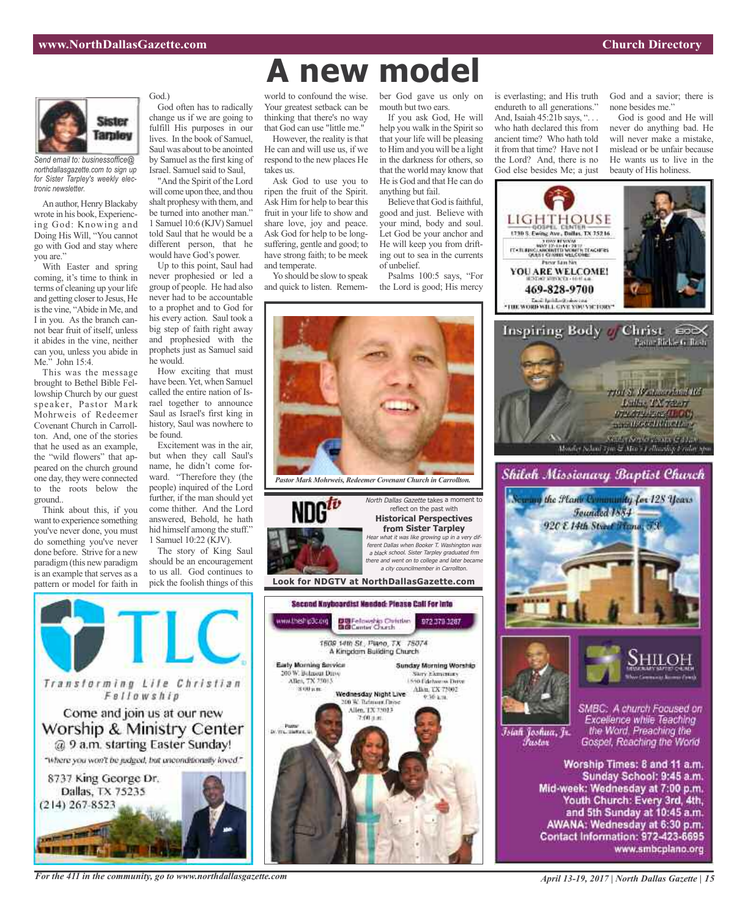

*northdallasgazette.com to sign up for Sister Tarpley's weekly electronic newsletter.*

An author, Henry Blackaby wrote in his book, Experiencing God: Knowing and Doing His Will, "You cannot go with God and stay where you are."

With Easter and spring coming, it's time to think in terms of cleaning up your life and getting closer to Jesus, He isthe vine, "Abide in Me, and I in you. As the branch cannot bear fruit of itself, unless it abides in the vine, neither can you, unless you abide in Me." John 15:4.

This was the message brought to Bethel Bible Fellowship Church by our guest speaker, Pastor Mark Mohrweis of Redeemer Covenant Church in Carrollton. And, one of the stories that he used as an example, the "wild flowers" that appeared on the church ground one day, they were connected to the roots below the ground..

Think about this, if you want to experience something you've never done, you must do something you've never done before. Strive for a new paradigm (this new paradigm is an example that serves as a pattern or model for faith in



God often has to radically change us if we are going to fulfill His purposes in our lives. In the book of Samuel, Saul was about to be anointed by Samuel as the first king of

Israel. Samuel said to Saul, "And the Spirit of the Lord will come upon thee, and thou shalt prophesy with them, and be turned into another man." 1 Samuel 10:6 (KJV) Samuel told Saul that he would be a different person, that he would have God's power.

Up to this point, Saul had never prophesied or led a group of people. He had also never had to be accountable to a prophet and to God for his every action. Saul took a big step of faith right away and prophesied with the prophets just as Samuel said he would.

How exciting that must have been.Yet, when Samuel called the entire nation of Israel together to announce Saul as Israel's first king in history, Saul was nowhere to be found.

Excitement was in the air, but when they call Saul's name, he didn't come forward. "Therefore they (the people) inquired of the Lord further, if the man should yet come thither. And the Lord answered, Behold, he hath hid himself among the stuff." 1 Samuel 10:22 (KJV).

The story of King Saul should be an encouragement to us all. God continues to pick the foolish things of this

# **A new model**

world to confound the wise. Your greatest setback can be thinking that there's no way that God can use "little me."

However, the reality is that He can and will use us, if we respond to the new places He takes us.

Ask God to use you to ripen the fruit of the Spirit. Ask Him for help to bear this fruit in your life to show and share love, joy and peace. Ask God for help to be longsuffering, gentle and good; to have strong faith; to be meek and temperate.

Yo should be slow to speak and quick to listen. Remember God gave us only on mouth but two ears.

If you ask God, He will help you walk in the Spirit so that your life will be pleasing to Him and you will be a light in the darkness for others, so that the world may know that He is God and that He can do anything but fail.

Believe that God is faithful, good and just. Believe with your mind, body and soul. Let God be your anchor and He will keep you from drifting out to sea in the currents of unbelief.

Psalms 100:5 says, "For the Lord is good; His mercy

*Pastor Mark Mohrweis, Redeemer Covenant Church in Carrollton.*

**Look for NDGTV at NorthDallasGazette.com**

www.thest-p3c.org

**Early Morning Service** 

200 W. Balmout Drive

Allei, TX 75013

**SOURIE** 

Dr. Wa, Thefford



*For the 411 in the community, go to www.northdallasgazette.com*



is everlasting; and His truth endureth to all generations." And, Isaiah 45:21b says, ". . . who hath declared this from ancient time? Who hath told it from that time? Have not I the Lord? And, there is no God else besides Me; a just God and a savior; there is none besides me."

God is good and He will never do anything bad. He will never make a mistake, mislead or be unfair because He wants us to live in the beauty of His holiness.